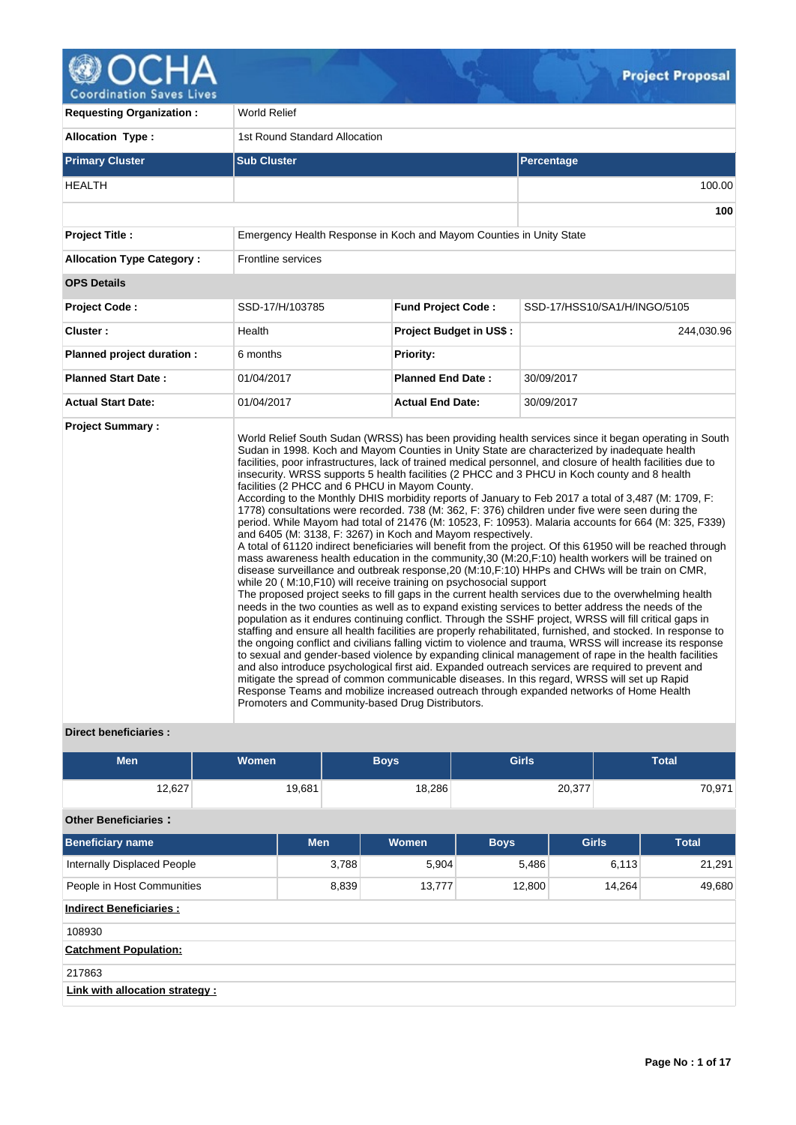

| <b>Requesting Organization:</b>  | World Relief                                                                                                                                                                                                                           |                                |                                                                                                                                                                                                                                                                                                                                                                                                                                                                                                                                                                                                                                                                                                                                                                                                                                                                                                                                                                                                                                                                                                                                                                                                                                                                                                                                                                                                                                                                                                                                                                                                                                                                                                                                                                                                                                                                                                                                                                                                                                     |  |  |  |  |  |  |  |
|----------------------------------|----------------------------------------------------------------------------------------------------------------------------------------------------------------------------------------------------------------------------------------|--------------------------------|-------------------------------------------------------------------------------------------------------------------------------------------------------------------------------------------------------------------------------------------------------------------------------------------------------------------------------------------------------------------------------------------------------------------------------------------------------------------------------------------------------------------------------------------------------------------------------------------------------------------------------------------------------------------------------------------------------------------------------------------------------------------------------------------------------------------------------------------------------------------------------------------------------------------------------------------------------------------------------------------------------------------------------------------------------------------------------------------------------------------------------------------------------------------------------------------------------------------------------------------------------------------------------------------------------------------------------------------------------------------------------------------------------------------------------------------------------------------------------------------------------------------------------------------------------------------------------------------------------------------------------------------------------------------------------------------------------------------------------------------------------------------------------------------------------------------------------------------------------------------------------------------------------------------------------------------------------------------------------------------------------------------------------------|--|--|--|--|--|--|--|
| <b>Allocation Type:</b>          | 1st Round Standard Allocation                                                                                                                                                                                                          |                                |                                                                                                                                                                                                                                                                                                                                                                                                                                                                                                                                                                                                                                                                                                                                                                                                                                                                                                                                                                                                                                                                                                                                                                                                                                                                                                                                                                                                                                                                                                                                                                                                                                                                                                                                                                                                                                                                                                                                                                                                                                     |  |  |  |  |  |  |  |
| <b>Primary Cluster</b>           | <b>Sub Cluster</b>                                                                                                                                                                                                                     |                                | Percentage                                                                                                                                                                                                                                                                                                                                                                                                                                                                                                                                                                                                                                                                                                                                                                                                                                                                                                                                                                                                                                                                                                                                                                                                                                                                                                                                                                                                                                                                                                                                                                                                                                                                                                                                                                                                                                                                                                                                                                                                                          |  |  |  |  |  |  |  |
| <b>HEALTH</b>                    |                                                                                                                                                                                                                                        |                                | 100.00                                                                                                                                                                                                                                                                                                                                                                                                                                                                                                                                                                                                                                                                                                                                                                                                                                                                                                                                                                                                                                                                                                                                                                                                                                                                                                                                                                                                                                                                                                                                                                                                                                                                                                                                                                                                                                                                                                                                                                                                                              |  |  |  |  |  |  |  |
|                                  |                                                                                                                                                                                                                                        |                                | 100                                                                                                                                                                                                                                                                                                                                                                                                                                                                                                                                                                                                                                                                                                                                                                                                                                                                                                                                                                                                                                                                                                                                                                                                                                                                                                                                                                                                                                                                                                                                                                                                                                                                                                                                                                                                                                                                                                                                                                                                                                 |  |  |  |  |  |  |  |
| <b>Project Title:</b>            | Emergency Health Response in Koch and Mayom Counties in Unity State                                                                                                                                                                    |                                |                                                                                                                                                                                                                                                                                                                                                                                                                                                                                                                                                                                                                                                                                                                                                                                                                                                                                                                                                                                                                                                                                                                                                                                                                                                                                                                                                                                                                                                                                                                                                                                                                                                                                                                                                                                                                                                                                                                                                                                                                                     |  |  |  |  |  |  |  |
| <b>Allocation Type Category:</b> | <b>Frontline services</b>                                                                                                                                                                                                              |                                |                                                                                                                                                                                                                                                                                                                                                                                                                                                                                                                                                                                                                                                                                                                                                                                                                                                                                                                                                                                                                                                                                                                                                                                                                                                                                                                                                                                                                                                                                                                                                                                                                                                                                                                                                                                                                                                                                                                                                                                                                                     |  |  |  |  |  |  |  |
| <b>OPS Details</b>               |                                                                                                                                                                                                                                        |                                |                                                                                                                                                                                                                                                                                                                                                                                                                                                                                                                                                                                                                                                                                                                                                                                                                                                                                                                                                                                                                                                                                                                                                                                                                                                                                                                                                                                                                                                                                                                                                                                                                                                                                                                                                                                                                                                                                                                                                                                                                                     |  |  |  |  |  |  |  |
| <b>Project Code:</b>             | SSD-17/H/103785                                                                                                                                                                                                                        | <b>Fund Project Code:</b>      | SSD-17/HSS10/SA1/H/INGO/5105                                                                                                                                                                                                                                                                                                                                                                                                                                                                                                                                                                                                                                                                                                                                                                                                                                                                                                                                                                                                                                                                                                                                                                                                                                                                                                                                                                                                                                                                                                                                                                                                                                                                                                                                                                                                                                                                                                                                                                                                        |  |  |  |  |  |  |  |
| Cluster:                         | Health                                                                                                                                                                                                                                 | <b>Project Budget in US\$:</b> | 244,030.96                                                                                                                                                                                                                                                                                                                                                                                                                                                                                                                                                                                                                                                                                                                                                                                                                                                                                                                                                                                                                                                                                                                                                                                                                                                                                                                                                                                                                                                                                                                                                                                                                                                                                                                                                                                                                                                                                                                                                                                                                          |  |  |  |  |  |  |  |
| Planned project duration :       | 6 months                                                                                                                                                                                                                               | Priority:                      |                                                                                                                                                                                                                                                                                                                                                                                                                                                                                                                                                                                                                                                                                                                                                                                                                                                                                                                                                                                                                                                                                                                                                                                                                                                                                                                                                                                                                                                                                                                                                                                                                                                                                                                                                                                                                                                                                                                                                                                                                                     |  |  |  |  |  |  |  |
| <b>Planned Start Date:</b>       | 01/04/2017                                                                                                                                                                                                                             | <b>Planned End Date:</b>       | 30/09/2017                                                                                                                                                                                                                                                                                                                                                                                                                                                                                                                                                                                                                                                                                                                                                                                                                                                                                                                                                                                                                                                                                                                                                                                                                                                                                                                                                                                                                                                                                                                                                                                                                                                                                                                                                                                                                                                                                                                                                                                                                          |  |  |  |  |  |  |  |
| <b>Actual Start Date:</b>        | 01/04/2017                                                                                                                                                                                                                             | <b>Actual End Date:</b>        | 30/09/2017                                                                                                                                                                                                                                                                                                                                                                                                                                                                                                                                                                                                                                                                                                                                                                                                                                                                                                                                                                                                                                                                                                                                                                                                                                                                                                                                                                                                                                                                                                                                                                                                                                                                                                                                                                                                                                                                                                                                                                                                                          |  |  |  |  |  |  |  |
| <b>Project Summary:</b>          | facilities (2 PHCC and 6 PHCU in Mayom County.<br>and 6405 (M: 3138, F: 3267) in Koch and Mayom respectively.<br>while 20 (M:10,F10) will receive training on psychosocial support<br>Promoters and Community-based Drug Distributors. |                                | World Relief South Sudan (WRSS) has been providing health services since it began operating in South<br>Sudan in 1998. Koch and Mayom Counties in Unity State are characterized by inadequate health<br>facilities, poor infrastructures, lack of trained medical personnel, and closure of health facilities due to<br>insecurity. WRSS supports 5 health facilities (2 PHCC and 3 PHCU in Koch county and 8 health<br>According to the Monthly DHIS morbidity reports of January to Feb 2017 a total of 3,487 (M: 1709, F:<br>1778) consultations were recorded. 738 (M: 362, F: 376) children under five were seen during the<br>period. While Mayom had total of 21476 (M: 10523, F: 10953). Malaria accounts for 664 (M: 325, F339)<br>A total of 61120 indirect beneficiaries will benefit from the project. Of this 61950 will be reached through<br>mass awareness health education in the community, 30 (M:20, F:10) health workers will be trained on<br>disease surveillance and outbreak response, 20 (M:10, F:10) HHPs and CHWs will be train on CMR,<br>The proposed project seeks to fill gaps in the current health services due to the overwhelming health<br>needs in the two counties as well as to expand existing services to better address the needs of the<br>population as it endures continuing conflict. Through the SSHF project, WRSS will fill critical gaps in<br>staffing and ensure all health facilities are properly rehabilitated, furnished, and stocked. In response to<br>the ongoing conflict and civilians falling victim to violence and trauma, WRSS will increase its response<br>to sexual and gender-based violence by expanding clinical management of rape in the health facilities<br>and also introduce psychological first aid. Expanded outreach services are required to prevent and<br>mitigate the spread of common communicable diseases. In this regard, WRSS will set up Rapid<br>Response Teams and mobilize increased outreach through expanded networks of Home Health |  |  |  |  |  |  |  |

# **Direct beneficiaries :**

| <b>Men</b>                      | Women  |            | <b>Boys</b> | <b>Girls</b> |              | <b>Total</b> |
|---------------------------------|--------|------------|-------------|--------------|--------------|--------------|
| 12,627                          | 19,681 |            | 18,286      |              | 20,377       | 70,971       |
| <b>Other Beneficiaries:</b>     |        |            |             |              |              |              |
| <b>Beneficiary name</b>         |        | <b>Men</b> | Women       | <b>Boys</b>  | <b>Girls</b> | <b>Total</b> |
| Internally Displaced People     |        | 3,788      | 5,904       | 5,486        | 6,113        | 21,291       |
| People in Host Communities      |        | 8,839      | 13,777      | 12,800       | 14,264       | 49,680       |
| <b>Indirect Beneficiaries:</b>  |        |            |             |              |              |              |
| 108930                          |        |            |             |              |              |              |
| <b>Catchment Population:</b>    |        |            |             |              |              |              |
| 217863                          |        |            |             |              |              |              |
| Link with allocation strategy : |        |            |             |              |              |              |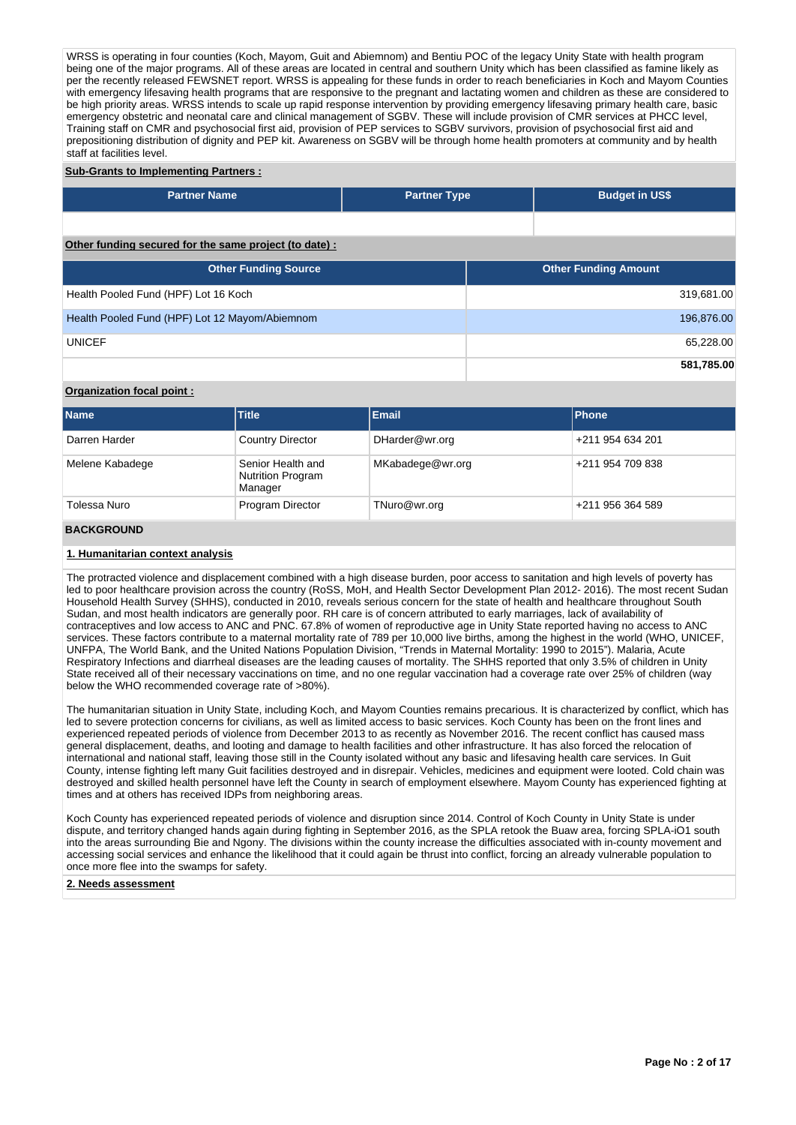WRSS is operating in four counties (Koch, Mayom, Guit and Abiemnom) and Bentiu POC of the legacy Unity State with health program being one of the major programs. All of these areas are located in central and southern Unity which has been classified as famine likely as per the recently released FEWSNET report. WRSS is appealing for these funds in order to reach beneficiaries in Koch and Mayom Counties with emergency lifesaving health programs that are responsive to the pregnant and lactating women and children as these are considered to be high priority areas. WRSS intends to scale up rapid response intervention by providing emergency lifesaving primary health care, basic emergency obstetric and neonatal care and clinical management of SGBV. These will include provision of CMR services at PHCC level, Training staff on CMR and psychosocial first aid, provision of PEP services to SGBV survivors, provision of psychosocial first aid and prepositioning distribution of dignity and PEP kit. Awareness on SGBV will be through home health promoters at community and by health staff at facilities level.

#### **Sub-Grants to Implementing Partners :**

| <b>Partner Name</b>                                   | <b>Partner Type</b> | <b>Budget in US\$</b>       |            |
|-------------------------------------------------------|---------------------|-----------------------------|------------|
|                                                       |                     |                             |            |
| Other funding secured for the same project (to date): |                     |                             |            |
| <b>Other Funding Source</b>                           |                     | <b>Other Funding Amount</b> |            |
| Health Pooled Fund (HPF) Lot 16 Koch                  |                     |                             | 319,681.00 |
| Health Pooled Fund (HPF) Lot 12 Mayom/Abiemnom        |                     |                             | 196,876.00 |
| <b>UNICEF</b>                                         |                     |                             | 65,228.00  |
|                                                       |                     |                             | 581,785.00 |

## **Organization focal point :**

| <b>Name</b>     | <b>Title</b>                                             | <b>Email</b>     | <b>IPhone</b>    |
|-----------------|----------------------------------------------------------|------------------|------------------|
| Darren Harder   | <b>Country Director</b>                                  | DHarder@wr.org   | +211 954 634 201 |
| Melene Kabadege | Senior Health and<br><b>Nutrition Program</b><br>Manager | MKabadege@wr.org | +211 954 709 838 |
| Tolessa Nuro    | Program Director                                         | TNuro@wr.org     | +211 956 364 589 |

## **BACKGROUND**

## **1. Humanitarian context analysis**

The protracted violence and displacement combined with a high disease burden, poor access to sanitation and high levels of poverty has led to poor healthcare provision across the country (RoSS, MoH, and Health Sector Development Plan 2012- 2016). The most recent Sudan Household Health Survey (SHHS), conducted in 2010, reveals serious concern for the state of health and healthcare throughout South Sudan, and most health indicators are generally poor. RH care is of concern attributed to early marriages, lack of availability of contraceptives and low access to ANC and PNC. 67.8% of women of reproductive age in Unity State reported having no access to ANC services. These factors contribute to a maternal mortality rate of 789 per 10,000 live births, among the highest in the world (WHO, UNICEF, UNFPA, The World Bank, and the United Nations Population Division, "Trends in Maternal Mortality: 1990 to 2015"). Malaria, Acute Respiratory Infections and diarrheal diseases are the leading causes of mortality. The SHHS reported that only 3.5% of children in Unity State received all of their necessary vaccinations on time, and no one regular vaccination had a coverage rate over 25% of children (way below the WHO recommended coverage rate of >80%).

The humanitarian situation in Unity State, including Koch, and Mayom Counties remains precarious. It is characterized by conflict, which has led to severe protection concerns for civilians, as well as limited access to basic services. Koch County has been on the front lines and experienced repeated periods of violence from December 2013 to as recently as November 2016. The recent conflict has caused mass general displacement, deaths, and looting and damage to health facilities and other infrastructure. It has also forced the relocation of international and national staff, leaving those still in the County isolated without any basic and lifesaving health care services. In Guit County, intense fighting left many Guit facilities destroyed and in disrepair. Vehicles, medicines and equipment were looted. Cold chain was destroyed and skilled health personnel have left the County in search of employment elsewhere. Mayom County has experienced fighting at times and at others has received IDPs from neighboring areas.

Koch County has experienced repeated periods of violence and disruption since 2014. Control of Koch County in Unity State is under dispute, and territory changed hands again during fighting in September 2016, as the SPLA retook the Buaw area, forcing SPLA-iO1 south into the areas surrounding Bie and Ngony. The divisions within the county increase the difficulties associated with in-county movement and accessing social services and enhance the likelihood that it could again be thrust into conflict, forcing an already vulnerable population to once more flee into the swamps for safety.

#### **2. Needs assessment**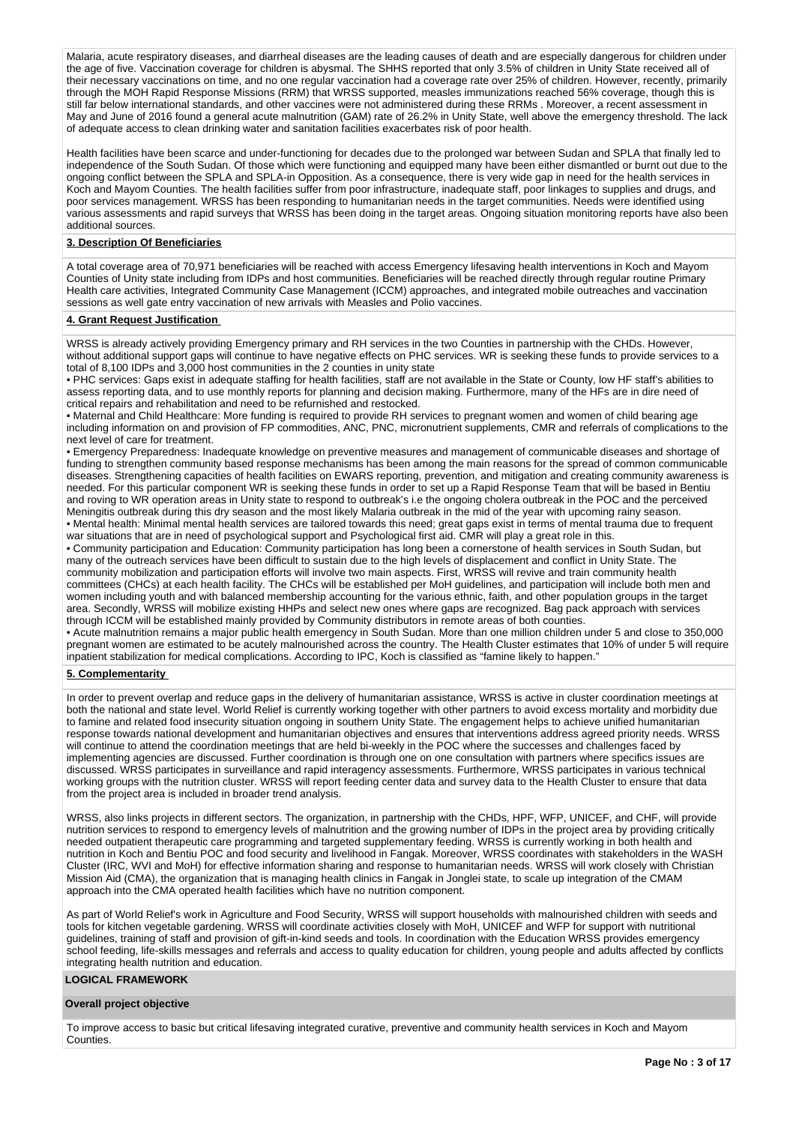Malaria, acute respiratory diseases, and diarrheal diseases are the leading causes of death and are especially dangerous for children under the age of five. Vaccination coverage for children is abysmal. The SHHS reported that only 3.5% of children in Unity State received all of their necessary vaccinations on time, and no one regular vaccination had a coverage rate over 25% of children. However, recently, primarily through the MOH Rapid Response Missions (RRM) that WRSS supported, measles immunizations reached 56% coverage, though this is still far below international standards, and other vaccines were not administered during these RRMs . Moreover, a recent assessment in May and June of 2016 found a general acute malnutrition (GAM) rate of 26.2% in Unity State, well above the emergency threshold. The lack of adequate access to clean drinking water and sanitation facilities exacerbates risk of poor health.

Health facilities have been scarce and under-functioning for decades due to the prolonged war between Sudan and SPLA that finally led to independence of the South Sudan. Of those which were functioning and equipped many have been either dismantled or burnt out due to the ongoing conflict between the SPLA and SPLA-in Opposition. As a consequence, there is very wide gap in need for the health services in Koch and Mayom Counties. The health facilities suffer from poor infrastructure, inadequate staff, poor linkages to supplies and drugs, and poor services management. WRSS has been responding to humanitarian needs in the target communities. Needs were identified using various assessments and rapid surveys that WRSS has been doing in the target areas. Ongoing situation monitoring reports have also been additional sources.

#### **3. Description Of Beneficiaries**

A total coverage area of 70,971 beneficiaries will be reached with access Emergency lifesaving health interventions in Koch and Mayom Counties of Unity state including from IDPs and host communities. Beneficiaries will be reached directly through regular routine Primary Health care activities, Integrated Community Case Management (ICCM) approaches, and integrated mobile outreaches and vaccination sessions as well gate entry vaccination of new arrivals with Measles and Polio vaccines.

#### **4. Grant Request Justification**

WRSS is already actively providing Emergency primary and RH services in the two Counties in partnership with the CHDs. However, without additional support gaps will continue to have negative effects on PHC services. WR is seeking these funds to provide services to a total of 8,100 IDPs and 3,000 host communities in the 2 counties in unity state

• PHC services: Gaps exist in adequate staffing for health facilities, staff are not available in the State or County, low HF staff's abilities to assess reporting data, and to use monthly reports for planning and decision making. Furthermore, many of the HFs are in dire need of critical repairs and rehabilitation and need to be refurnished and restocked.

• Maternal and Child Healthcare: More funding is required to provide RH services to pregnant women and women of child bearing age including information on and provision of FP commodities, ANC, PNC, micronutrient supplements, CMR and referrals of complications to the next level of care for treatment.

• Emergency Preparedness: Inadequate knowledge on preventive measures and management of communicable diseases and shortage of funding to strengthen community based response mechanisms has been among the main reasons for the spread of common communicable diseases. Strengthening capacities of health facilities on EWARS reporting, prevention, and mitigation and creating community awareness is needed. For this particular component WR is seeking these funds in order to set up a Rapid Response Team that will be based in Bentiu and roving to WR operation areas in Unity state to respond to outbreak's i.e the ongoing cholera outbreak in the POC and the perceived Meningitis outbreak during this dry season and the most likely Malaria outbreak in the mid of the year with upcoming rainy season. • Mental health: Minimal mental health services are tailored towards this need; great gaps exist in terms of mental trauma due to frequent war situations that are in need of psychological support and Psychological first aid. CMR will play a great role in this.

• Community participation and Education: Community participation has long been a cornerstone of health services in South Sudan, but many of the outreach services have been difficult to sustain due to the high levels of displacement and conflict in Unity State. The community mobilization and participation efforts will involve two main aspects. First, WRSS will revive and train community health committees (CHCs) at each health facility. The CHCs will be established per MoH guidelines, and participation will include both men and women including youth and with balanced membership accounting for the various ethnic, faith, and other population groups in the target area. Secondly, WRSS will mobilize existing HHPs and select new ones where gaps are recognized. Bag pack approach with services through ICCM will be established mainly provided by Community distributors in remote areas of both counties.

• Acute malnutrition remains a major public health emergency in South Sudan. More than one million children under 5 and close to 350,000 pregnant women are estimated to be acutely malnourished across the country. The Health Cluster estimates that 10% of under 5 will require inpatient stabilization for medical complications. According to IPC, Koch is classified as "famine likely to happen."

#### **5. Complementarity**

In order to prevent overlap and reduce gaps in the delivery of humanitarian assistance, WRSS is active in cluster coordination meetings at both the national and state level. World Relief is currently working together with other partners to avoid excess mortality and morbidity due to famine and related food insecurity situation ongoing in southern Unity State. The engagement helps to achieve unified humanitarian response towards national development and humanitarian objectives and ensures that interventions address agreed priority needs. WRSS will continue to attend the coordination meetings that are held bi-weekly in the POC where the successes and challenges faced by implementing agencies are discussed. Further coordination is through one on one consultation with partners where specifics issues are discussed. WRSS participates in surveillance and rapid interagency assessments. Furthermore, WRSS participates in various technical working groups with the nutrition cluster. WRSS will report feeding center data and survey data to the Health Cluster to ensure that data from the project area is included in broader trend analysis.

WRSS, also links projects in different sectors. The organization, in partnership with the CHDs, HPF, WFP, UNICEF, and CHF, will provide nutrition services to respond to emergency levels of malnutrition and the growing number of IDPs in the project area by providing critically needed outpatient therapeutic care programming and targeted supplementary feeding. WRSS is currently working in both health and nutrition in Koch and Bentiu POC and food security and livelihood in Fangak. Moreover, WRSS coordinates with stakeholders in the WASH Cluster (IRC, WVI and MoH) for effective information sharing and response to humanitarian needs. WRSS will work closely with Christian Mission Aid (CMA), the organization that is managing health clinics in Fangak in Jonglei state, to scale up integration of the CMAM approach into the CMA operated health facilities which have no nutrition component.

As part of World Relief's work in Agriculture and Food Security, WRSS will support households with malnourished children with seeds and tools for kitchen vegetable gardening. WRSS will coordinate activities closely with MoH, UNICEF and WFP for support with nutritional guidelines, training of staff and provision of gift-in-kind seeds and tools. In coordination with the Education WRSS provides emergency school feeding, life-skills messages and referrals and access to quality education for children, young people and adults affected by conflicts integrating health nutrition and education.

### **LOGICAL FRAMEWORK**

#### **Overall project objective**

To improve access to basic but critical lifesaving integrated curative, preventive and community health services in Koch and Mayom Counties.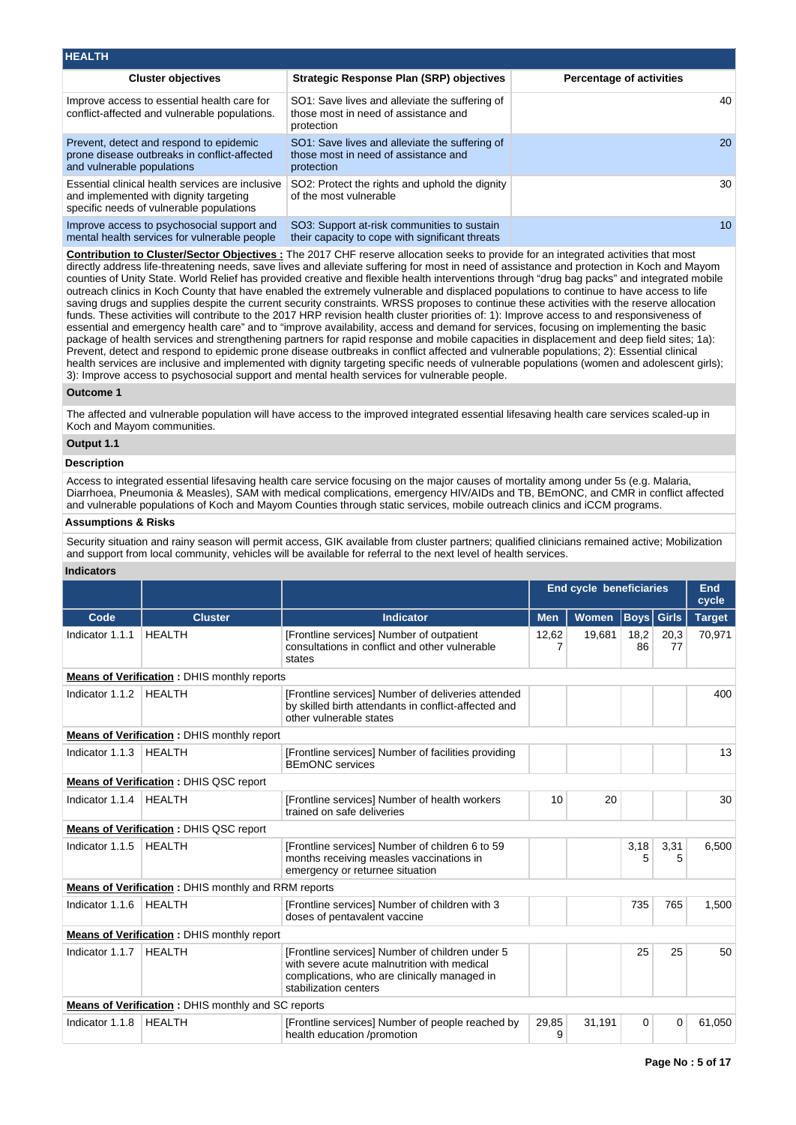| <b>HEALTH</b>                                                                                                                          |                                                                                                      |                                 |
|----------------------------------------------------------------------------------------------------------------------------------------|------------------------------------------------------------------------------------------------------|---------------------------------|
| <b>Cluster objectives</b>                                                                                                              | Strategic Response Plan (SRP) objectives                                                             | <b>Percentage of activities</b> |
| Improve access to essential health care for<br>conflict-affected and vulnerable populations.                                           | SO1: Save lives and alleviate the suffering of<br>those most in need of assistance and<br>protection | 40                              |
| Prevent, detect and respond to epidemic<br>prone disease outbreaks in conflict-affected<br>and vulnerable populations                  | SO1: Save lives and alleviate the suffering of<br>those most in need of assistance and<br>protection | <b>20</b>                       |
| Essential clinical health services are inclusive<br>and implemented with dignity targeting<br>specific needs of vulnerable populations | SO2: Protect the rights and uphold the dignity<br>of the most vulnerable                             | 30                              |
| Improve access to psychosocial support and<br>mental health services for vulnerable people                                             | SO3: Support at-risk communities to sustain<br>their capacity to cope with significant threats       | 10 <sup>1</sup>                 |

**Contribution to Cluster/Sector Objectives :** The 2017 CHF reserve allocation seeks to provide for an integrated activities that most directly address life-threatening needs, save lives and alleviate suffering for most in need of assistance and protection in Koch and Mayom counties of Unity State. World Relief has provided creative and flexible health interventions through "drug bag packs" and integrated mobile outreach clinics in Koch County that have enabled the extremely vulnerable and displaced populations to continue to have access to life saving drugs and supplies despite the current security constraints. WRSS proposes to continue these activities with the reserve allocation funds. These activities will contribute to the 2017 HRP revision health cluster priorities of: 1): Improve access to and responsiveness of essential and emergency health care" and to "improve availability, access and demand for services, focusing on implementing the basic package of health services and strengthening partners for rapid response and mobile capacities in displacement and deep field sites; 1a): Prevent, detect and respond to epidemic prone disease outbreaks in conflict affected and vulnerable populations; 2): Essential clinical health services are inclusive and implemented with dignity targeting specific needs of vulnerable populations (women and adolescent girls); 3): Improve access to psychosocial support and mental health services for vulnerable people.

## **Outcome 1**

The affected and vulnerable population will have access to the improved integrated essential lifesaving health care services scaled-up in Koch and Mayom communities.

#### **Output 1.1**

### **Description**

Access to integrated essential lifesaving health care service focusing on the major causes of mortality among under 5s (e.g. Malaria, Diarrhoea, Pneumonia & Measles), SAM with medical complications, emergency HIV/AIDs and TB, BEmONC, and CMR in conflict affected and vulnerable populations of Koch and Mayom Counties through static services, mobile outreach clinics and iCCM programs.

## **Assumptions & Risks**

Security situation and rainy season will permit access, GIK available from cluster partners; qualified clinicians remained active; Mobilization and support from local community, vehicles will be available for referral to the next level of health services.

## **Indicators**

|                                        |                                                                                                |                                                                                                                                                                         | <b>End cycle beneficiaries</b> |              |             |              | End<br>cycle  |  |
|----------------------------------------|------------------------------------------------------------------------------------------------|-------------------------------------------------------------------------------------------------------------------------------------------------------------------------|--------------------------------|--------------|-------------|--------------|---------------|--|
| Code                                   | <b>Cluster</b>                                                                                 | <b>Indicator</b>                                                                                                                                                        | <b>Men</b>                     | <b>Women</b> | <b>Boys</b> | <b>Girls</b> | <b>Target</b> |  |
| Indicator 1.1.1                        | <b>HEALTH</b>                                                                                  | [Frontline services] Number of outpatient<br>consultations in conflict and other vulnerable<br>states                                                                   | 12,62<br>7                     | 19,681       | 18,2<br>86  | 20,3<br>77   | 70,971        |  |
|                                        | <b>Means of Verification: DHIS monthly reports</b>                                             |                                                                                                                                                                         |                                |              |             |              |               |  |
| Indicator 1.1.2                        | <b>HEALTH</b>                                                                                  | [Frontline services] Number of deliveries attended<br>by skilled birth attendants in conflict-affected and<br>other vulnerable states                                   |                                |              |             |              | 400           |  |
|                                        | <b>Means of Verification: DHIS monthly report</b>                                              |                                                                                                                                                                         |                                |              |             |              |               |  |
| Indicator 1.1.3                        | <b>HEALTH</b><br>[Frontline services] Number of facilities providing<br><b>BEmONC</b> services |                                                                                                                                                                         |                                |              |             |              | 13            |  |
| Means of Verification: DHIS QSC report |                                                                                                |                                                                                                                                                                         |                                |              |             |              |               |  |
| Indicator 1.1.4                        | <b>HEALTH</b>                                                                                  | [Frontline services] Number of health workers<br>trained on safe deliveries                                                                                             | 10                             | 20           |             |              | 30            |  |
|                                        | <b>Means of Verification: DHIS QSC report</b>                                                  |                                                                                                                                                                         |                                |              |             |              |               |  |
| Indicator 1.1.5                        | <b>HEALTH</b>                                                                                  | [Frontline services] Number of children 6 to 59<br>months receiving measles vaccinations in<br>emergency or returnee situation                                          |                                |              | 3,18<br>5   | 3,31<br>5    | 6,500         |  |
|                                        | Means of Verification: DHIS monthly and RRM reports                                            |                                                                                                                                                                         |                                |              |             |              |               |  |
| Indicator 1.1.6                        | <b>HEALTH</b>                                                                                  | [Frontline services] Number of children with 3<br>doses of pentavalent vaccine                                                                                          |                                |              | 735         | 765          | 1,500         |  |
|                                        | <b>Means of Verification</b> : DHIS monthly report                                             |                                                                                                                                                                         |                                |              |             |              |               |  |
| Indicator 1.1.7                        | <b>HEALTH</b>                                                                                  | [Frontline services] Number of children under 5<br>with severe acute malnutrition with medical<br>complications, who are clinically managed in<br>stabilization centers |                                |              | 25          | 25           | 50            |  |
|                                        | <b>Means of Verification: DHIS monthly and SC reports</b>                                      |                                                                                                                                                                         |                                |              |             |              |               |  |
| Indicator 1.1.8                        | <b>HEALTH</b>                                                                                  | [Frontline services] Number of people reached by<br>health education /promotion                                                                                         | 29,85<br>31,191<br>9           |              | 0           | 0            | 61,050        |  |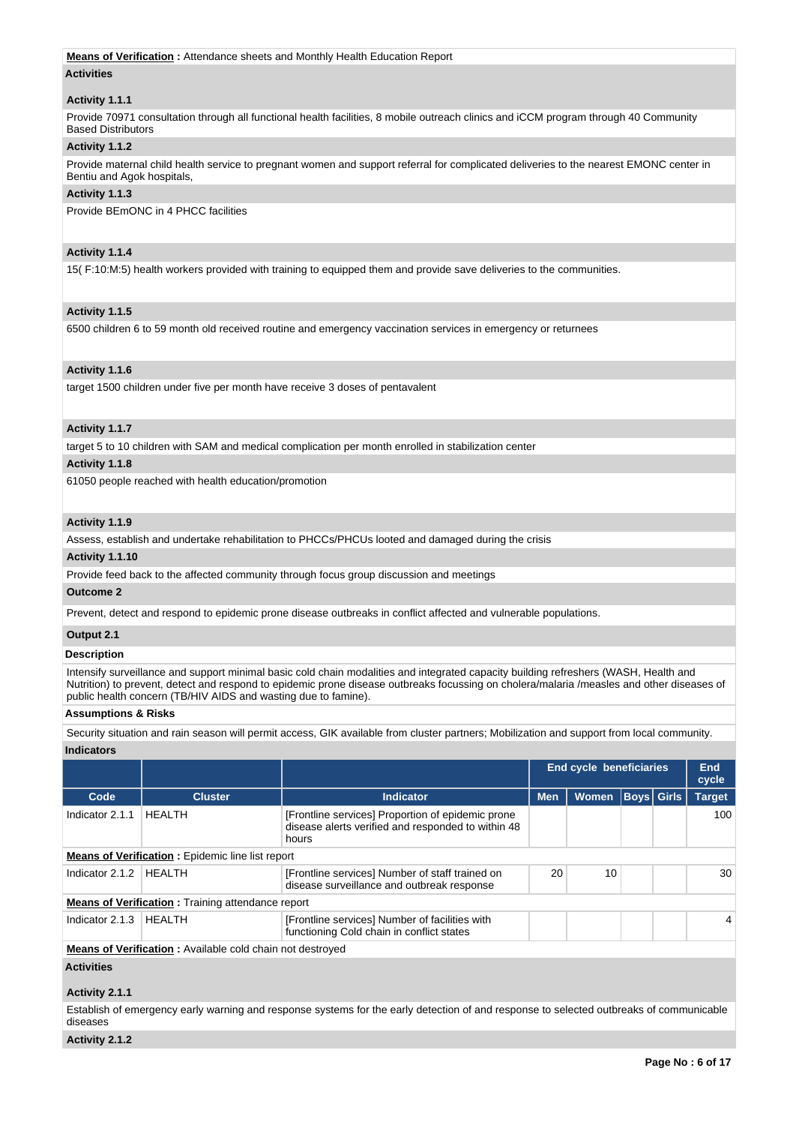### **Means of Verification :** Attendance sheets and Monthly Health Education Report

## **Activities**

## **Activity 1.1.1**

Provide 70971 consultation through all functional health facilities, 8 mobile outreach clinics and iCCM program through 40 Community Based Distributors

## **Activity 1.1.2**

Provide maternal child health service to pregnant women and support referral for complicated deliveries to the nearest EMONC center in Bentiu and Agok hospitals,

## **Activity 1.1.3**

Provide BEmONC in 4 PHCC facilities

## **Activity 1.1.4**

15( F:10:M:5) health workers provided with training to equipped them and provide save deliveries to the communities.

## **Activity 1.1.5**

6500 children 6 to 59 month old received routine and emergency vaccination services in emergency or returnees

## **Activity 1.1.6**

target 1500 children under five per month have receive 3 doses of pentavalent

## **Activity 1.1.7**

target 5 to 10 children with SAM and medical complication per month enrolled in stabilization center

## **Activity 1.1.8**

61050 people reached with health education/promotion

## **Activity 1.1.9**

Assess, establish and undertake rehabilitation to PHCCs/PHCUs looted and damaged during the crisis

# **Activity 1.1.10**

Provide feed back to the affected community through focus group discussion and meetings

# **Outcome 2**

Prevent, detect and respond to epidemic prone disease outbreaks in conflict affected and vulnerable populations.

## **Output 2.1**

## **Description**

Intensify surveillance and support minimal basic cold chain modalities and integrated capacity building refreshers (WASH, Health and Nutrition) to prevent, detect and respond to epidemic prone disease outbreaks focussing on cholera/malaria /measles and other diseases of public health concern (TB/HIV AIDS and wasting due to famine).

#### **Assumptions & Risks**

Security situation and rain season will permit access, GIK available from cluster partners; Mobilization and support from local community.

# **Indicators**

|                                                                  |                                                          |                                                                                                                  |            | <b>End cycle beneficiaries</b> |                   |  | End<br>cycle  |  |  |  |
|------------------------------------------------------------------|----------------------------------------------------------|------------------------------------------------------------------------------------------------------------------|------------|--------------------------------|-------------------|--|---------------|--|--|--|
| Code                                                             | <b>Cluster</b>                                           | Indicator                                                                                                        | <b>Men</b> | <b>Women</b>                   | <b>Boys</b> Girls |  | <b>Target</b> |  |  |  |
| Indicator 2.1.1                                                  | HEALTH                                                   | [Frontline services] Proportion of epidemic prone<br>disease alerts verified and responded to within 48<br>hours |            |                                |                   |  | 100           |  |  |  |
| <b>Means of Verification:</b> Epidemic line list report          |                                                          |                                                                                                                  |            |                                |                   |  |               |  |  |  |
| Indicator 2.1.2                                                  | <b>HEALTH</b>                                            | [Frontline services] Number of staff trained on<br>disease surveillance and outbreak response                    | 20         | 10                             |                   |  | 30            |  |  |  |
|                                                                  | <b>Means of Verification:</b> Training attendance report |                                                                                                                  |            |                                |                   |  |               |  |  |  |
| Indicator 2.1.3                                                  | HEALTH                                                   | [Frontline services] Number of facilities with<br>functioning Cold chain in conflict states                      |            |                                |                   |  |               |  |  |  |
| <b>Means of Verification:</b> Available cold chain not destroyed |                                                          |                                                                                                                  |            |                                |                   |  |               |  |  |  |
| <b>Activities</b>                                                |                                                          |                                                                                                                  |            |                                |                   |  |               |  |  |  |

# **Activity 2.1.1**

Establish of emergency early warning and response systems for the early detection of and response to selected outbreaks of communicable diseases

# **Activity 2.1.2**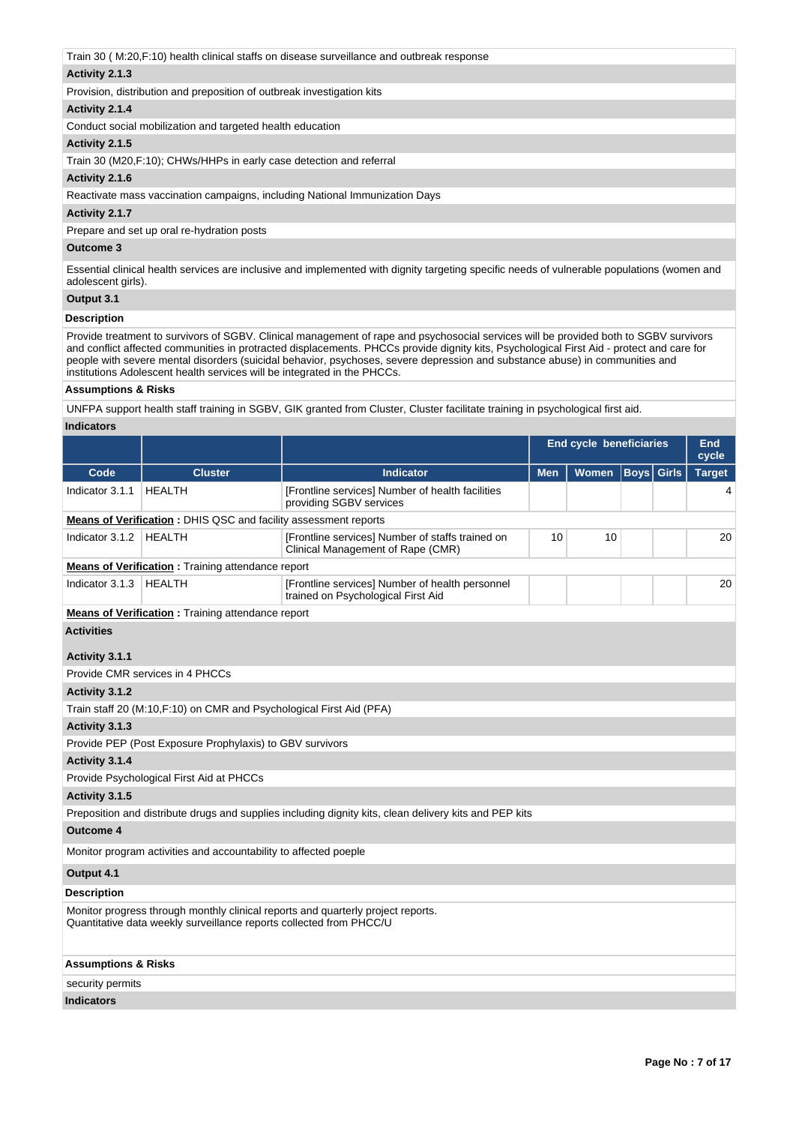Train 30 ( M:20,F:10) health clinical staffs on disease surveillance and outbreak response

# **Activity 2.1.3**

Provision, distribution and preposition of outbreak investigation kits

# **Activity 2.1.4**

Conduct social mobilization and targeted health education

## **Activity 2.1.5**

Train 30 (M20,F:10); CHWs/HHPs in early case detection and referral

## **Activity 2.1.6**

Reactivate mass vaccination campaigns, including National Immunization Days

## **Activity 2.1.7**

Prepare and set up oral re-hydration posts

## **Outcome 3**

Essential clinical health services are inclusive and implemented with dignity targeting specific needs of vulnerable populations (women and adolescent girls).

# **Output 3.1**

## **Description**

Provide treatment to survivors of SGBV. Clinical management of rape and psychosocial services will be provided both to SGBV survivors and conflict affected communities in protracted displacements. PHCCs provide dignity kits, Psychological First Aid - protect and care for people with severe mental disorders (suicidal behavior, psychoses, severe depression and substance abuse) in communities and institutions Adolescent health services will be integrated in the PHCCs.

## **Assumptions & Risks**

UNFPA support health staff training in SGBV, GIK granted from Cluster, Cluster facilitate training in psychological first aid.

## **Indicators**

|                                                                        |                                                                      |                                                                                                        | <b>End cycle beneficiaries</b> | End<br>cycle |                   |  |               |
|------------------------------------------------------------------------|----------------------------------------------------------------------|--------------------------------------------------------------------------------------------------------|--------------------------------|--------------|-------------------|--|---------------|
| Code                                                                   | <b>Cluster</b>                                                       | <b>Indicator</b>                                                                                       | <b>Men</b>                     | <b>Women</b> | <b>Boys</b> Girls |  | <b>Target</b> |
| Indicator 3.1.1                                                        | <b>HEALTH</b>                                                        | [Frontline services] Number of health facilities<br>providing SGBV services                            |                                |              |                   |  | 4             |
| <b>Means of Verification:</b> DHIS QSC and facility assessment reports |                                                                      |                                                                                                        |                                |              |                   |  |               |
| Indicator 3.1.2   HEALTH                                               |                                                                      | [Frontline services] Number of staffs trained on<br>Clinical Management of Rape (CMR)                  | 10                             |              | 20                |  |               |
|                                                                        | <b>Means of Verification</b> : Training attendance report            |                                                                                                        |                                |              |                   |  |               |
| Indicator 3.1.3                                                        | <b>HEALTH</b>                                                        | [Frontline services] Number of health personnel<br>trained on Psychological First Aid                  |                                |              |                   |  | 20            |
|                                                                        | <b>Means of Verification:</b> Training attendance report             |                                                                                                        |                                |              |                   |  |               |
| <b>Activities</b><br>Activity 3.1.1                                    |                                                                      |                                                                                                        |                                |              |                   |  |               |
|                                                                        | Provide CMR services in 4 PHCCs                                      |                                                                                                        |                                |              |                   |  |               |
| Activity 3.1.2                                                         |                                                                      |                                                                                                        |                                |              |                   |  |               |
|                                                                        | Train staff 20 (M:10, F:10) on CMR and Psychological First Aid (PFA) |                                                                                                        |                                |              |                   |  |               |
| Activity 3.1.3                                                         |                                                                      |                                                                                                        |                                |              |                   |  |               |
|                                                                        | Provide PEP (Post Exposure Prophylaxis) to GBV survivors             |                                                                                                        |                                |              |                   |  |               |
| Activity 3.1.4                                                         |                                                                      |                                                                                                        |                                |              |                   |  |               |
|                                                                        | Provide Psychological First Aid at PHCCs                             |                                                                                                        |                                |              |                   |  |               |
| Activity 3.1.5                                                         |                                                                      |                                                                                                        |                                |              |                   |  |               |
|                                                                        |                                                                      | Preposition and distribute drugs and supplies including dignity kits, clean delivery kits and PEP kits |                                |              |                   |  |               |
| <b>Outcome 4</b>                                                       |                                                                      |                                                                                                        |                                |              |                   |  |               |
|                                                                        | Monitor program activities and accountability to affected poeple     |                                                                                                        |                                |              |                   |  |               |
| Output 4.1                                                             |                                                                      |                                                                                                        |                                |              |                   |  |               |
| <b>Description</b>                                                     |                                                                      |                                                                                                        |                                |              |                   |  |               |
|                                                                        | Quantitative data weekly surveillance reports collected from PHCC/U  | Monitor progress through monthly clinical reports and quarterly project reports.                       |                                |              |                   |  |               |
| <b>Assumptions &amp; Risks</b>                                         |                                                                      |                                                                                                        |                                |              |                   |  |               |
| security permits                                                       |                                                                      |                                                                                                        |                                |              |                   |  |               |
| <b>Indicators</b>                                                      |                                                                      |                                                                                                        |                                |              |                   |  |               |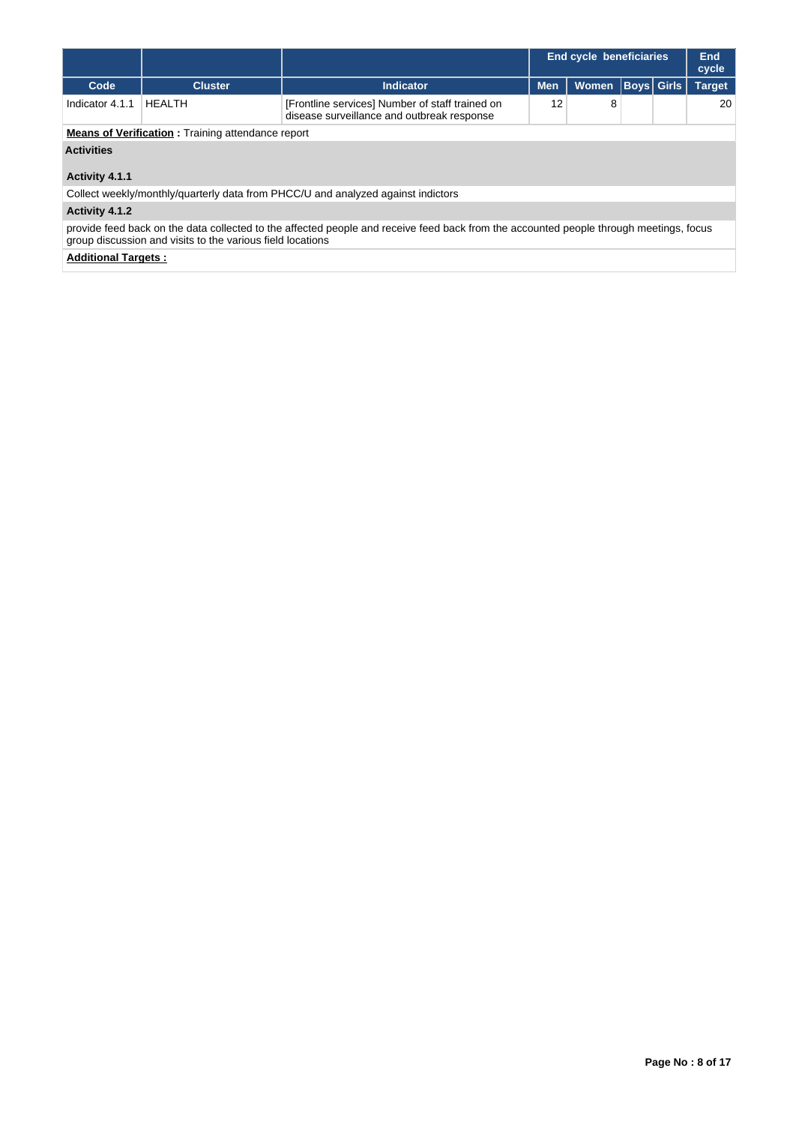|                                                          |                                                                                                                                                                                                      |                                                                                               |            | <b>End cycle beneficiaries</b> |  | End<br>cycle      |               |  |  |  |
|----------------------------------------------------------|------------------------------------------------------------------------------------------------------------------------------------------------------------------------------------------------------|-----------------------------------------------------------------------------------------------|------------|--------------------------------|--|-------------------|---------------|--|--|--|
| Code                                                     | <b>Cluster</b>                                                                                                                                                                                       | <b>Indicator</b>                                                                              | <b>Men</b> | <b>Women</b>                   |  | <b>Boys Girls</b> | <b>Target</b> |  |  |  |
| Indicator 4.1.1                                          | <b>HFAITH</b>                                                                                                                                                                                        | [Frontline services] Number of staff trained on<br>disease surveillance and outbreak response | 12         | 8                              |  |                   | 20            |  |  |  |
| <b>Means of Verification:</b> Training attendance report |                                                                                                                                                                                                      |                                                                                               |            |                                |  |                   |               |  |  |  |
| <b>Activities</b>                                        |                                                                                                                                                                                                      |                                                                                               |            |                                |  |                   |               |  |  |  |
| Activity 4.1.1                                           |                                                                                                                                                                                                      |                                                                                               |            |                                |  |                   |               |  |  |  |
|                                                          |                                                                                                                                                                                                      | Collect weekly/monthly/quarterly data from PHCC/U and analyzed against indictors              |            |                                |  |                   |               |  |  |  |
| Activity 4.1.2                                           |                                                                                                                                                                                                      |                                                                                               |            |                                |  |                   |               |  |  |  |
|                                                          | provide feed back on the data collected to the affected people and receive feed back from the accounted people through meetings, focus<br>group discussion and visits to the various field locations |                                                                                               |            |                                |  |                   |               |  |  |  |

**Additional Targets :**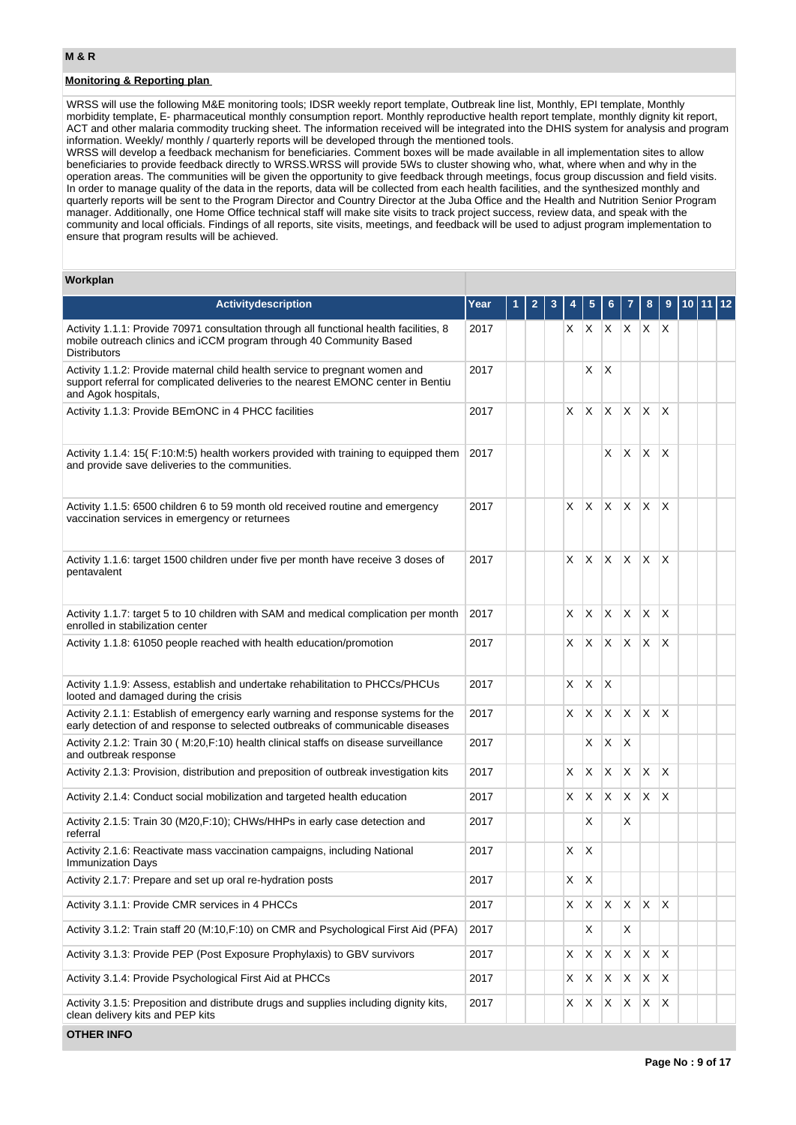# **Monitoring & Reporting plan**

WRSS will use the following M&E monitoring tools; IDSR weekly report template, Outbreak line list, Monthly, EPI template, Monthly morbidity template, E- pharmaceutical monthly consumption report. Monthly reproductive health report template, monthly dignity kit report, ACT and other malaria commodity trucking sheet. The information received will be integrated into the DHIS system for analysis and program information. Weekly/ monthly / quarterly reports will be developed through the mentioned tools.

WRSS will develop a feedback mechanism for beneficiaries. Comment boxes will be made available in all implementation sites to allow beneficiaries to provide feedback directly to WRSS.WRSS will provide 5Ws to cluster showing who, what, where when and why in the operation areas. The communities will be given the opportunity to give feedback through meetings, focus group discussion and field visits. In order to manage quality of the data in the reports, data will be collected from each health facilities, and the synthesized monthly and quarterly reports will be sent to the Program Director and Country Director at the Juba Office and the Health and Nutrition Senior Program manager. Additionally, one Home Office technical staff will make site visits to track project success, review data, and speak with the community and local officials. Findings of all reports, site visits, meetings, and feedback will be used to adjust program implementation to ensure that program results will be achieved.

#### **Workplan**

| Activitydescription                                                                                                                                                                     | Year |  |    |              |          |                 | 8              | 9               |  | 12 |
|-----------------------------------------------------------------------------------------------------------------------------------------------------------------------------------------|------|--|----|--------------|----------|-----------------|----------------|-----------------|--|----|
| Activity 1.1.1: Provide 70971 consultation through all functional health facilities, 8<br>mobile outreach clinics and iCCM program through 40 Community Based<br><b>Distributors</b>    | 2017 |  | X  | X.           |          | $X$ $X$ $X$ $X$ |                |                 |  |    |
| Activity 1.1.2: Provide maternal child health service to pregnant women and<br>support referral for complicated deliveries to the nearest EMONC center in Bentiu<br>and Agok hospitals, | 2017 |  |    | X            | X        |                 |                |                 |  |    |
| Activity 1.1.3: Provide BEmONC in 4 PHCC facilities                                                                                                                                     | 2017 |  | X  | X            | X        | $\mathsf{X}$    | X.             | $\times$        |  |    |
| Activity 1.1.4: 15(F:10:M:5) health workers provided with training to equipped them<br>and provide save deliveries to the communities.                                                  | 2017 |  |    |              | X        | X.              | X              | $\times$        |  |    |
| Activity 1.1.5: 6500 children 6 to 59 month old received routine and emergency<br>vaccination services in emergency or returnees                                                        | 2017 |  | X  | X            |          | X X X           |                | $\mathsf{\chi}$ |  |    |
| Activity 1.1.6: target 1500 children under five per month have receive 3 doses of<br>pentavalent                                                                                        | 2017 |  | X  | $\times$     | X        | $x \times$      |                | X               |  |    |
| Activity 1.1.7: target 5 to 10 children with SAM and medical complication per month<br>enrolled in stabilization center                                                                 | 2017 |  | X  | X            | $\times$ | ΙX.             | X              | $\times$        |  |    |
| Activity 1.1.8: 61050 people reached with health education/promotion                                                                                                                    | 2017 |  | X. | X            | X        | $\mathsf{X}$    | X.             | X               |  |    |
| Activity 1.1.9: Assess, establish and undertake rehabilitation to PHCCs/PHCUs<br>looted and damaged during the crisis                                                                   | 2017 |  | X  | X            | $\times$ |                 |                |                 |  |    |
| Activity 2.1.1: Establish of emergency early warning and response systems for the<br>early detection of and response to selected outbreaks of communicable diseases                     | 2017 |  | X  | $\mathsf{X}$ | X        | X.              | X              | $\times$        |  |    |
| Activity 2.1.2: Train 30 (M:20, F:10) health clinical staffs on disease surveillance<br>and outbreak response                                                                           | 2017 |  |    | X            | Χ        | $\mathsf{X}$    |                |                 |  |    |
| Activity 2.1.3: Provision, distribution and preposition of outbreak investigation kits                                                                                                  | 2017 |  | X  | X            | X        | X               | X              | $\times$        |  |    |
| Activity 2.1.4: Conduct social mobilization and targeted health education                                                                                                               | 2017 |  | X  | X            | X        | X.              | X              | X               |  |    |
| Activity 2.1.5: Train 30 (M20, F:10); CHWs/HHPs in early case detection and<br>referral                                                                                                 | 2017 |  |    | X            |          | X               |                |                 |  |    |
| Activity 2.1.6: Reactivate mass vaccination campaigns, including National<br><b>Immunization Days</b>                                                                                   | 2017 |  | X  | X            |          |                 |                |                 |  |    |
| Activity 2.1.7: Prepare and set up oral re-hydration posts                                                                                                                              | 2017 |  | X. | X            |          |                 |                |                 |  |    |
| Activity 3.1.1: Provide CMR services in 4 PHCCs                                                                                                                                         | 2017 |  | X  | X            | Χ        | X.              | X.             | $\mathsf{X}$    |  |    |
| Activity 3.1.2: Train staff 20 (M:10, F:10) on CMR and Psychological First Aid (PFA)                                                                                                    | 2017 |  |    | х            |          | Χ               |                |                 |  |    |
| Activity 3.1.3: Provide PEP (Post Exposure Prophylaxis) to GBV survivors                                                                                                                | 2017 |  | X  | X            | X        | X.              | $\mathsf{X}^-$ | $\mathsf{x}$    |  |    |
| Activity 3.1.4: Provide Psychological First Aid at PHCCs                                                                                                                                | 2017 |  | X  | X            | X        | X.              | X              | $\mathsf{X}$    |  |    |
| Activity 3.1.5: Preposition and distribute drugs and supplies including dignity kits,<br>clean delivery kits and PEP kits                                                               | 2017 |  | X  | X            | X        | X               | X              | X.              |  |    |

**OTHER INFO**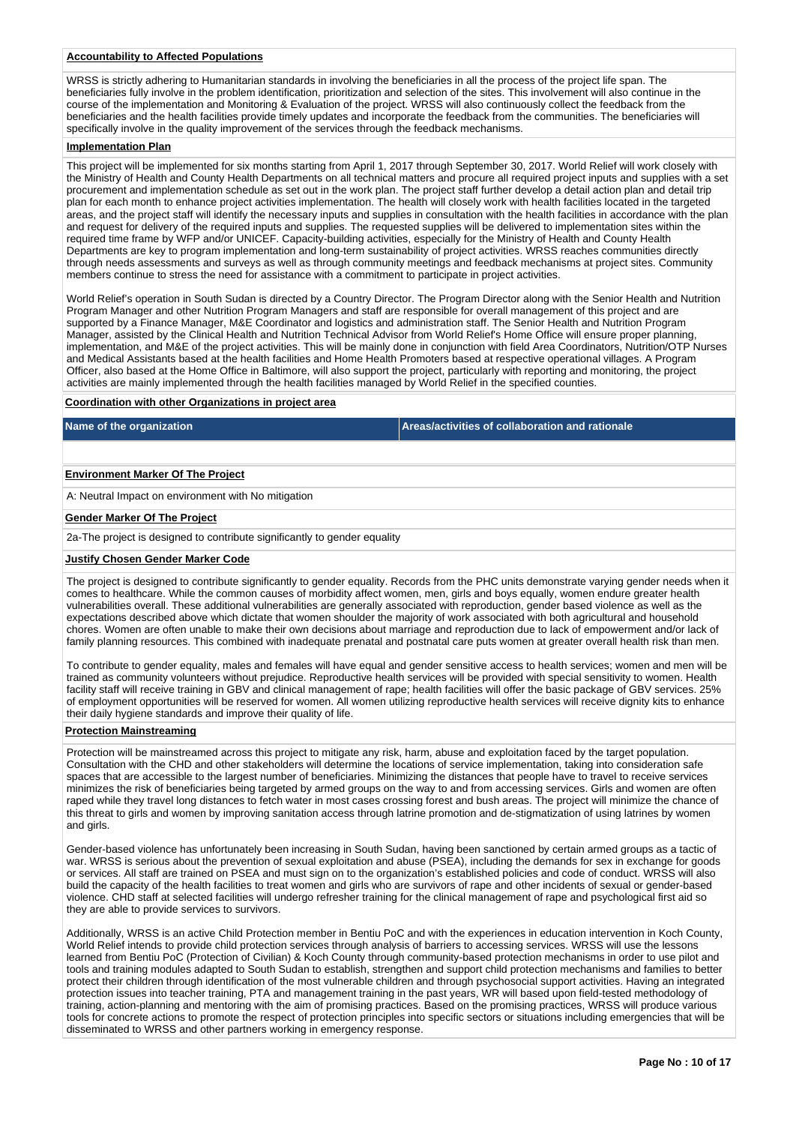#### **Accountability to Affected Populations**

WRSS is strictly adhering to Humanitarian standards in involving the beneficiaries in all the process of the project life span. The beneficiaries fully involve in the problem identification, prioritization and selection of the sites. This involvement will also continue in the course of the implementation and Monitoring & Evaluation of the project. WRSS will also continuously collect the feedback from the beneficiaries and the health facilities provide timely updates and incorporate the feedback from the communities. The beneficiaries will specifically involve in the quality improvement of the services through the feedback mechanisms.

#### **Implementation Plan**

This project will be implemented for six months starting from April 1, 2017 through September 30, 2017. World Relief will work closely with the Ministry of Health and County Health Departments on all technical matters and procure all required project inputs and supplies with a set procurement and implementation schedule as set out in the work plan. The project staff further develop a detail action plan and detail trip plan for each month to enhance project activities implementation. The health will closely work with health facilities located in the targeted areas, and the project staff will identify the necessary inputs and supplies in consultation with the health facilities in accordance with the plan and request for delivery of the required inputs and supplies. The requested supplies will be delivered to implementation sites within the required time frame by WFP and/or UNICEF. Capacity-building activities, especially for the Ministry of Health and County Health Departments are key to program implementation and long-term sustainability of project activities. WRSS reaches communities directly through needs assessments and surveys as well as through community meetings and feedback mechanisms at project sites. Community members continue to stress the need for assistance with a commitment to participate in project activities.

World Relief's operation in South Sudan is directed by a Country Director. The Program Director along with the Senior Health and Nutrition Program Manager and other Nutrition Program Managers and staff are responsible for overall management of this project and are supported by a Finance Manager, M&E Coordinator and logistics and administration staff. The Senior Health and Nutrition Program Manager, assisted by the Clinical Health and Nutrition Technical Advisor from World Relief's Home Office will ensure proper planning, implementation, and M&E of the project activities. This will be mainly done in conjunction with field Area Coordinators, Nutrition/OTP Nurses and Medical Assistants based at the health facilities and Home Health Promoters based at respective operational villages. A Program Officer, also based at the Home Office in Baltimore, will also support the project, particularly with reporting and monitoring, the project activities are mainly implemented through the health facilities managed by World Relief in the specified counties.

#### **Coordination with other Organizations in project area**

**Name of the organization Areas/activities of collaboration and rationale** 

#### **Environment Marker Of The Project**

A: Neutral Impact on environment with No mitigation

### **Gender Marker Of The Project**

2a-The project is designed to contribute significantly to gender equality

#### **Justify Chosen Gender Marker Code**

The project is designed to contribute significantly to gender equality. Records from the PHC units demonstrate varying gender needs when it comes to healthcare. While the common causes of morbidity affect women, men, girls and boys equally, women endure greater health vulnerabilities overall. These additional vulnerabilities are generally associated with reproduction, gender based violence as well as the expectations described above which dictate that women shoulder the majority of work associated with both agricultural and household chores. Women are often unable to make their own decisions about marriage and reproduction due to lack of empowerment and/or lack of family planning resources. This combined with inadequate prenatal and postnatal care puts women at greater overall health risk than men.

To contribute to gender equality, males and females will have equal and gender sensitive access to health services; women and men will be trained as community volunteers without prejudice. Reproductive health services will be provided with special sensitivity to women. Health facility staff will receive training in GBV and clinical management of rape; health facilities will offer the basic package of GBV services. 25% of employment opportunities will be reserved for women. All women utilizing reproductive health services will receive dignity kits to enhance their daily hygiene standards and improve their quality of life.

#### **Protection Mainstreaming**

Protection will be mainstreamed across this project to mitigate any risk, harm, abuse and exploitation faced by the target population. Consultation with the CHD and other stakeholders will determine the locations of service implementation, taking into consideration safe spaces that are accessible to the largest number of beneficiaries. Minimizing the distances that people have to travel to receive services minimizes the risk of beneficiaries being targeted by armed groups on the way to and from accessing services. Girls and women are often raped while they travel long distances to fetch water in most cases crossing forest and bush areas. The project will minimize the chance of this threat to girls and women by improving sanitation access through latrine promotion and de-stigmatization of using latrines by women and girls.

Gender-based violence has unfortunately been increasing in South Sudan, having been sanctioned by certain armed groups as a tactic of war. WRSS is serious about the prevention of sexual exploitation and abuse (PSEA), including the demands for sex in exchange for goods or services. All staff are trained on PSEA and must sign on to the organization's established policies and code of conduct. WRSS will also build the capacity of the health facilities to treat women and girls who are survivors of rape and other incidents of sexual or gender-based violence. CHD staff at selected facilities will undergo refresher training for the clinical management of rape and psychological first aid so they are able to provide services to survivors.

Additionally, WRSS is an active Child Protection member in Bentiu PoC and with the experiences in education intervention in Koch County, World Relief intends to provide child protection services through analysis of barriers to accessing services. WRSS will use the lessons learned from Bentiu PoC (Protection of Civilian) & Koch County through community-based protection mechanisms in order to use pilot and tools and training modules adapted to South Sudan to establish, strengthen and support child protection mechanisms and families to better protect their children through identification of the most vulnerable children and through psychosocial support activities. Having an integrated protection issues into teacher training, PTA and management training in the past years, WR will based upon field-tested methodology of training, action-planning and mentoring with the aim of promising practices. Based on the promising practices, WRSS will produce various tools for concrete actions to promote the respect of protection principles into specific sectors or situations including emergencies that will be disseminated to WRSS and other partners working in emergency response.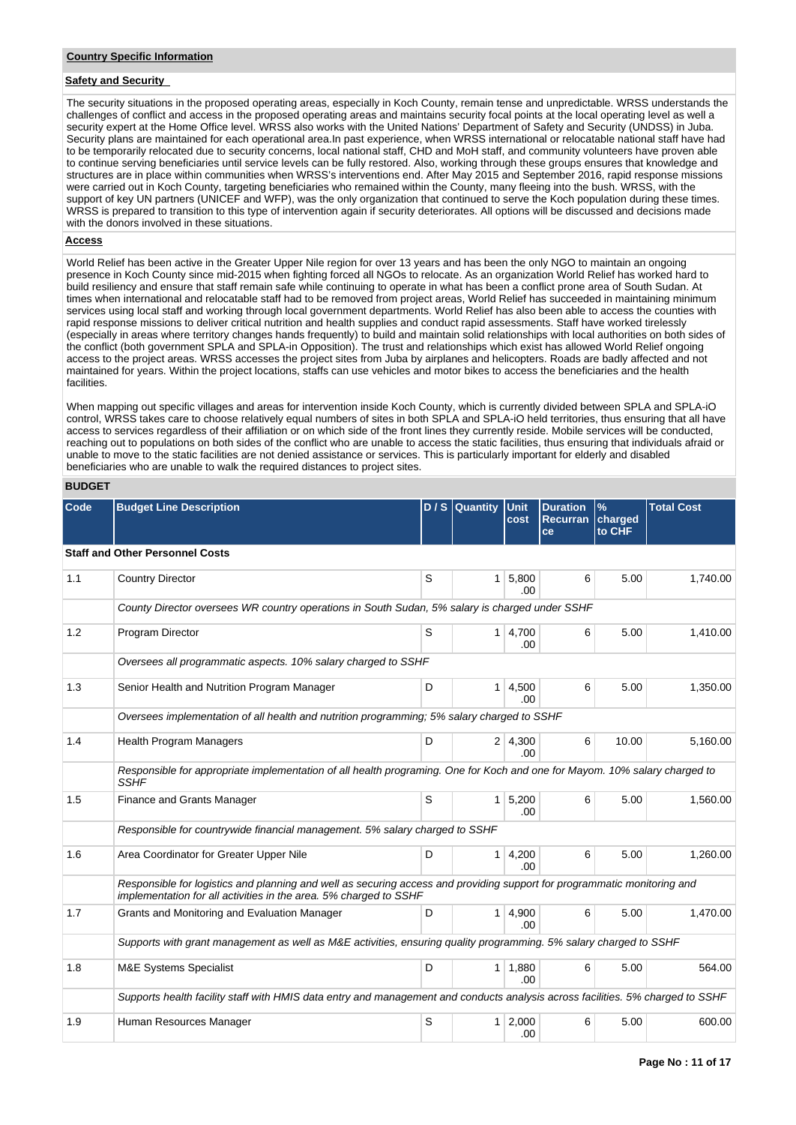## **Safety and Security**

The security situations in the proposed operating areas, especially in Koch County, remain tense and unpredictable. WRSS understands the challenges of conflict and access in the proposed operating areas and maintains security focal points at the local operating level as well a security expert at the Home Office level. WRSS also works with the United Nations' Department of Safety and Security (UNDSS) in Juba. Security plans are maintained for each operational area.In past experience, when WRSS international or relocatable national staff have had to be temporarily relocated due to security concerns, local national staff, CHD and MoH staff, and community volunteers have proven able to continue serving beneficiaries until service levels can be fully restored. Also, working through these groups ensures that knowledge and structures are in place within communities when WRSS's interventions end. After May 2015 and September 2016, rapid response missions were carried out in Koch County, targeting beneficiaries who remained within the County, many fleeing into the bush. WRSS, with the support of key UN partners (UNICEF and WFP), was the only organization that continued to serve the Koch population during these times. WRSS is prepared to transition to this type of intervention again if security deteriorates. All options will be discussed and decisions made with the donors involved in these situations.

## **Access**

World Relief has been active in the Greater Upper Nile region for over 13 years and has been the only NGO to maintain an ongoing presence in Koch County since mid-2015 when fighting forced all NGOs to relocate. As an organization World Relief has worked hard to build resiliency and ensure that staff remain safe while continuing to operate in what has been a conflict prone area of South Sudan. At times when international and relocatable staff had to be removed from project areas, World Relief has succeeded in maintaining minimum services using local staff and working through local government departments. World Relief has also been able to access the counties with rapid response missions to deliver critical nutrition and health supplies and conduct rapid assessments. Staff have worked tirelessly (especially in areas where territory changes hands frequently) to build and maintain solid relationships with local authorities on both sides of the conflict (both government SPLA and SPLA-in Opposition). The trust and relationships which exist has allowed World Relief ongoing access to the project areas. WRSS accesses the project sites from Juba by airplanes and helicopters. Roads are badly affected and not maintained for years. Within the project locations, staffs can use vehicles and motor bikes to access the beneficiaries and the health facilities.

When mapping out specific villages and areas for intervention inside Koch County, which is currently divided between SPLA and SPLA-iO control, WRSS takes care to choose relatively equal numbers of sites in both SPLA and SPLA-iO held territories, thus ensuring that all have access to services regardless of their affiliation or on which side of the front lines they currently reside. Mobile services will be conducted, reaching out to populations on both sides of the conflict who are unable to access the static facilities, thus ensuring that individuals afraid or unable to move to the static facilities are not denied assistance or services. This is particularly important for elderly and disabled beneficiaries who are unable to walk the required distances to project sites.

#### **BUDGET**

| <b>Code</b> | <b>Budget Line Description</b>                                                                                                                                                                |   | $D/S$ Quantity | Unit<br>cost                 | <b>Duration</b><br><b>Recurran</b><br>ce | $\frac{9}{6}$<br>charged<br>to CHF | <b>Total Cost</b> |  |  |  |  |  |
|-------------|-----------------------------------------------------------------------------------------------------------------------------------------------------------------------------------------------|---|----------------|------------------------------|------------------------------------------|------------------------------------|-------------------|--|--|--|--|--|
|             | <b>Staff and Other Personnel Costs</b>                                                                                                                                                        |   |                |                              |                                          |                                    |                   |  |  |  |  |  |
| 1.1         | <b>Country Director</b>                                                                                                                                                                       | S |                | $1 \, 5,800$<br>.00.         | 6                                        | 5.00                               | 1,740.00          |  |  |  |  |  |
|             | County Director oversees WR country operations in South Sudan, 5% salary is charged under SSHF                                                                                                |   |                |                              |                                          |                                    |                   |  |  |  |  |  |
| 1.2         | Program Director                                                                                                                                                                              | S |                | $1 \mid 4,700$<br>.00        | 6                                        | 5.00                               | 1,410.00          |  |  |  |  |  |
|             | Oversees all programmatic aspects. 10% salary charged to SSHF                                                                                                                                 |   |                |                              |                                          |                                    |                   |  |  |  |  |  |
| 1.3         | Senior Health and Nutrition Program Manager                                                                                                                                                   | D | $1 \mid$       | 4,500<br>.00.                | 6                                        | 5.00                               | 1,350.00          |  |  |  |  |  |
|             | Oversees implementation of all health and nutrition programming; 5% salary charged to SSHF                                                                                                    |   |                |                              |                                          |                                    |                   |  |  |  |  |  |
| 1.4         | <b>Health Program Managers</b>                                                                                                                                                                | D |                | 2 4,300<br>.00               | 6                                        | 10.00                              | 5,160.00          |  |  |  |  |  |
|             | Responsible for appropriate implementation of all health programing. One for Koch and one for Mayom. 10% salary charged to<br><b>SSHF</b>                                                     |   |                |                              |                                          |                                    |                   |  |  |  |  |  |
| 1.5         | Finance and Grants Manager                                                                                                                                                                    | S | 1              | 5,200<br>.00                 | 6                                        | 5.00                               | 1,560.00          |  |  |  |  |  |
|             | Responsible for countrywide financial management. 5% salary charged to SSHF                                                                                                                   |   |                |                              |                                          |                                    |                   |  |  |  |  |  |
| 1.6         | Area Coordinator for Greater Upper Nile                                                                                                                                                       | D | 1 <sup>1</sup> | 4,200<br>.00                 | 6                                        | 5.00                               | 1,260.00          |  |  |  |  |  |
|             | Responsible for logistics and planning and well as securing access and providing support for programmatic monitoring and<br>implementation for all activities in the area. 5% charged to SSHF |   |                |                              |                                          |                                    |                   |  |  |  |  |  |
| 1.7         | Grants and Monitoring and Evaluation Manager                                                                                                                                                  | D |                | 1   4,900<br>.00             | 6                                        | 5.00                               | 1,470.00          |  |  |  |  |  |
|             | Supports with grant management as well as M&E activities, ensuring quality programming. 5% salary charged to SSHF                                                                             |   |                |                              |                                          |                                    |                   |  |  |  |  |  |
| 1.8         | <b>M&amp;E Systems Specialist</b>                                                                                                                                                             | D |                | 1 1.880<br>.00               | 6                                        | 5.00                               | 564.00            |  |  |  |  |  |
|             | Supports health facility staff with HMIS data entry and management and conducts analysis across facilities. 5% charged to SSHF                                                                |   |                |                              |                                          |                                    |                   |  |  |  |  |  |
| 1.9         | Human Resources Manager                                                                                                                                                                       | S |                | $1 \overline{)2.000}$<br>.00 | 6                                        | 5.00                               | 600.00            |  |  |  |  |  |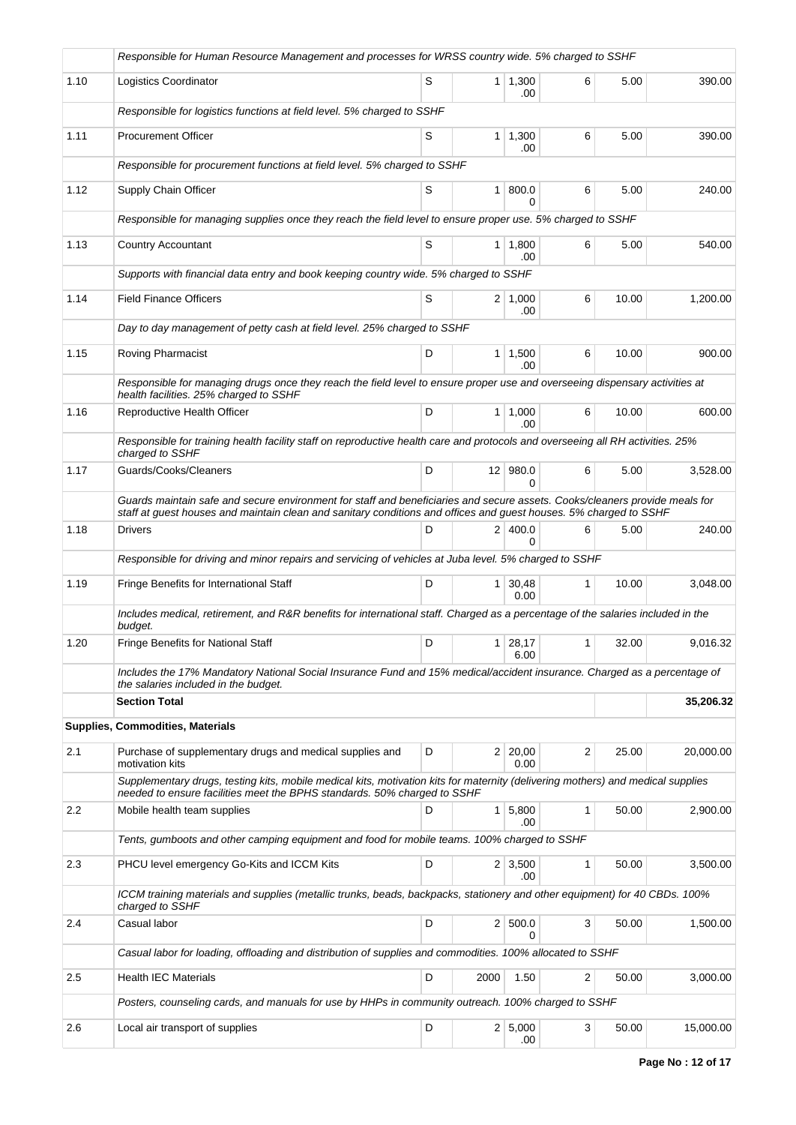|      | Responsible for Human Resource Management and processes for WRSS country wide. 5% charged to SSHF                                                                                                                                                |   |                |                        |    |       |           |
|------|--------------------------------------------------------------------------------------------------------------------------------------------------------------------------------------------------------------------------------------------------|---|----------------|------------------------|----|-------|-----------|
| 1.10 | Logistics Coordinator                                                                                                                                                                                                                            | S | 1 <sup>1</sup> | 1,300<br>.00           | 6  | 5.00  | 390.00    |
|      | Responsible for logistics functions at field level. 5% charged to SSHF                                                                                                                                                                           |   |                |                        |    |       |           |
| 1.11 | <b>Procurement Officer</b>                                                                                                                                                                                                                       | S |                | $1 \mid 1,300$<br>.00  | 6  | 5.00  | 390.00    |
|      | Responsible for procurement functions at field level. 5% charged to SSHF                                                                                                                                                                         |   |                |                        |    |       |           |
| 1.12 | Supply Chain Officer                                                                                                                                                                                                                             | S | 1 <sup>1</sup> | 800.0<br><sup>0</sup>  | 6  | 5.00  | 240.00    |
|      | Responsible for managing supplies once they reach the field level to ensure proper use. 5% charged to SSHF                                                                                                                                       |   |                |                        |    |       |           |
| 1.13 | <b>Country Accountant</b>                                                                                                                                                                                                                        | S | 1 <sup>1</sup> | 1,800<br>.00           | 6  | 5.00  | 540.00    |
|      | Supports with financial data entry and book keeping country wide. 5% charged to SSHF                                                                                                                                                             |   |                |                        |    |       |           |
| 1.14 | <b>Field Finance Officers</b>                                                                                                                                                                                                                    | S |                | $2 \mid 1,000$<br>.00  | 6  | 10.00 | 1,200.00  |
|      | Day to day management of petty cash at field level. 25% charged to SSHF                                                                                                                                                                          |   |                |                        |    |       |           |
| 1.15 | Roving Pharmacist                                                                                                                                                                                                                                | D |                | $1 \mid 1,500$<br>.00. | 6  | 10.00 | 900.00    |
|      | Responsible for managing drugs once they reach the field level to ensure proper use and overseeing dispensary activities at<br>health facilities. 25% charged to SSHF                                                                            |   |                |                        |    |       |           |
| 1.16 | Reproductive Health Officer                                                                                                                                                                                                                      | D |                | $1 \mid 1,000$<br>.00  | 6  | 10.00 | 600.00    |
|      | Responsible for training health facility staff on reproductive health care and protocols and overseeing all RH activities. 25%<br>charged to SSHF                                                                                                |   |                |                        |    |       |           |
| 1.17 | Guards/Cooks/Cleaners                                                                                                                                                                                                                            | D |                | 12 980.0<br>0          | 6  | 5.00  | 3,528.00  |
|      | Guards maintain safe and secure environment for staff and beneficiaries and secure assets. Cooks/cleaners provide meals for<br>staff at guest houses and maintain clean and sanitary conditions and offices and guest houses. 5% charged to SSHF |   |                |                        |    |       |           |
| 1.18 | <b>Drivers</b>                                                                                                                                                                                                                                   | D | 2 <sup>1</sup> | 400.0<br>0             | 6  | 5.00  | 240.00    |
|      | Responsible for driving and minor repairs and servicing of vehicles at Juba level. 5% charged to SSHF                                                                                                                                            |   |                |                        |    |       |           |
| 1.19 | Fringe Benefits for International Staff                                                                                                                                                                                                          | D | 1 <sup>1</sup> | 30,48<br>0.00          | 1  | 10.00 | 3,048.00  |
|      | Includes medical, retirement, and R&R benefits for international staff. Charged as a percentage of the salaries included in the<br>budget.                                                                                                       |   |                |                        |    |       |           |
| 1.20 | Fringe Benefits for National Staff                                                                                                                                                                                                               | D |                | 1 28,17<br>6.00        | 1. | 32.00 | 9.016.32  |
|      | Includes the 17% Mandatory National Social Insurance Fund and 15% medical/accident insurance. Charged as a percentage of<br>the salaries included in the budget.                                                                                 |   |                |                        |    |       |           |
|      | <b>Section Total</b>                                                                                                                                                                                                                             |   |                |                        |    |       | 35,206.32 |
|      | <b>Supplies, Commodities, Materials</b>                                                                                                                                                                                                          |   |                |                        |    |       |           |
| 2.1  | Purchase of supplementary drugs and medical supplies and<br>motivation kits                                                                                                                                                                      | D |                | 2 20,00 <br>0.00       | 2  | 25.00 | 20,000.00 |
|      | Supplementary drugs, testing kits, mobile medical kits, motivation kits for maternity (delivering mothers) and medical supplies<br>needed to ensure facilities meet the BPHS standards. 50% charged to SSHF                                      |   |                |                        |    |       |           |
| 2.2  | Mobile health team supplies                                                                                                                                                                                                                      | D |                | $1 \mid 5,800$<br>.00  | 1  | 50.00 | 2,900.00  |
|      | Tents, gumboots and other camping equipment and food for mobile teams. 100% charged to SSHF                                                                                                                                                      |   |                |                        |    |       |           |
| 2.3  | PHCU level emergency Go-Kits and ICCM Kits                                                                                                                                                                                                       | D |                | $2 \mid 3,500$<br>.00  | 1  | 50.00 | 3,500.00  |
|      | ICCM training materials and supplies (metallic trunks, beads, backpacks, stationery and other equipment) for 40 CBDs. 100%<br>charged to SSHF                                                                                                    |   |                |                        |    |       |           |
| 2.4  | Casual labor                                                                                                                                                                                                                                     | D |                | 2   500.0<br>$\Omega$  | 3  | 50.00 | 1,500.00  |
|      | Casual labor for loading, offloading and distribution of supplies and commodities. 100% allocated to SSHF                                                                                                                                        |   |                |                        |    |       |           |
| 2.5  | <b>Health IEC Materials</b>                                                                                                                                                                                                                      | D | 2000           | 1.50                   | 2  | 50.00 | 3,000.00  |
|      | Posters, counseling cards, and manuals for use by HHPs in community outreach. 100% charged to SSHF                                                                                                                                               |   |                |                        |    |       |           |
| 2.6  | Local air transport of supplies                                                                                                                                                                                                                  | D |                | 2   5,000<br>.00       | 3  | 50.00 | 15,000.00 |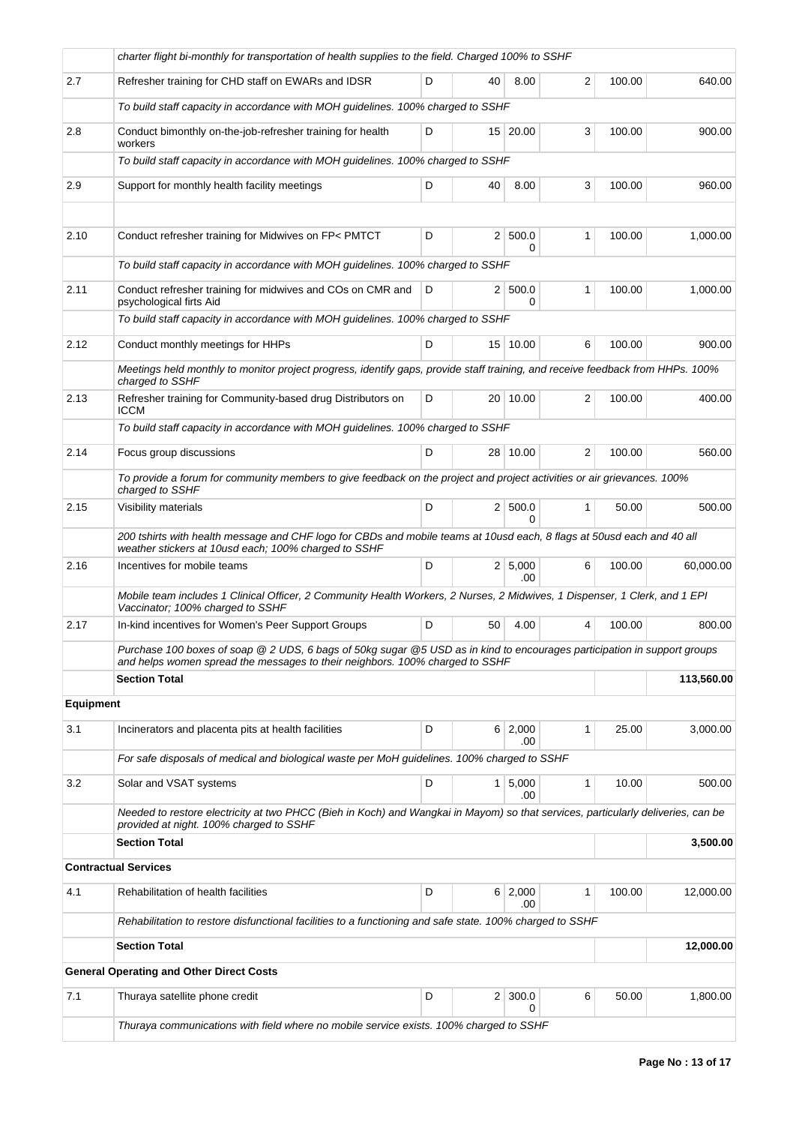|                  | charter flight bi-monthly for transportation of health supplies to the field. Charged 100% to SSHF                                                                                                       |   |                |                     |                |        |            |
|------------------|----------------------------------------------------------------------------------------------------------------------------------------------------------------------------------------------------------|---|----------------|---------------------|----------------|--------|------------|
| 2.7              | Refresher training for CHD staff on EWARs and IDSR                                                                                                                                                       | D | 40             | 8.00                | 2              | 100.00 | 640.00     |
|                  | To build staff capacity in accordance with MOH guidelines. 100% charged to SSHF                                                                                                                          |   |                |                     |                |        |            |
| 2.8              | Conduct bimonthly on-the-job-refresher training for health<br>workers                                                                                                                                    | D |                | 15 20.00            | 3              | 100.00 | 900.00     |
|                  | To build staff capacity in accordance with MOH guidelines. 100% charged to SSHF                                                                                                                          |   |                |                     |                |        |            |
| 2.9              | Support for monthly health facility meetings                                                                                                                                                             | D | 40             | 8.00                | 3              | 100.00 | 960.00     |
|                  |                                                                                                                                                                                                          |   |                |                     |                |        |            |
| 2.10             | Conduct refresher training for Midwives on FP< PMTCT                                                                                                                                                     | D |                | 2   500.0<br>0      | $\mathbf{1}$   | 100.00 | 1,000.00   |
|                  | To build staff capacity in accordance with MOH guidelines. 100% charged to SSHF                                                                                                                          |   |                |                     |                |        |            |
| 2.11             | Conduct refresher training for midwives and COs on CMR and<br>psychological firts Aid                                                                                                                    | D |                | 2   500.0<br>0      | 1              | 100.00 | 1,000.00   |
|                  | To build staff capacity in accordance with MOH guidelines. 100% charged to SSHF                                                                                                                          |   |                |                     |                |        |            |
| 2.12             | Conduct monthly meetings for HHPs                                                                                                                                                                        | D |                | 15 10.00            | 6              | 100.00 | 900.00     |
|                  | Meetings held monthly to monitor project progress, identify gaps, provide staff training, and receive feedback from HHPs. 100%<br>charged to SSHF                                                        |   |                |                     |                |        |            |
| 2.13             | Refresher training for Community-based drug Distributors on<br><b>ICCM</b>                                                                                                                               | D |                | 20 10.00            | 2              | 100.00 | 400.00     |
|                  | To build staff capacity in accordance with MOH guidelines. 100% charged to SSHF                                                                                                                          |   |                |                     |                |        |            |
| 2.14             | Focus group discussions                                                                                                                                                                                  | D | 28             | 10.00               | $\overline{2}$ | 100.00 | 560.00     |
|                  | To provide a forum for community members to give feedback on the project and project activities or air grievances. 100%<br>charged to SSHF                                                               |   |                |                     |                |        |            |
| 2.15             | Visibility materials                                                                                                                                                                                     | D |                | 2 500.0<br>0        | $\mathbf{1}$   | 50.00  | 500.00     |
|                  | 200 tshirts with health message and CHF logo for CBDs and mobile teams at 10usd each, 8 flags at 50usd each and 40 all<br>weather stickers at 10usd each; 100% charged to SSHF                           |   |                |                     |                |        |            |
| 2.16             | Incentives for mobile teams                                                                                                                                                                              | D |                | 2   5,000<br>.00    | 6              | 100.00 | 60,000.00  |
|                  | Mobile team includes 1 Clinical Officer, 2 Community Health Workers, 2 Nurses, 2 Midwives, 1 Dispenser, 1 Clerk, and 1 EPI<br>Vaccinator; 100% charged to SSHF                                           |   |                |                     |                |        |            |
| 2.17             | In-kind incentives for Women's Peer Support Groups                                                                                                                                                       | D | 50             | 4.00                | 4              | 100.00 | 800.00     |
|                  | Purchase 100 boxes of soap @ 2 UDS, 6 bags of 50kg sugar @5 USD as in kind to encourages participation in support groups<br>and helps women spread the messages to their neighbors. 100% charged to SSHF |   |                |                     |                |        |            |
|                  | <b>Section Total</b>                                                                                                                                                                                     |   |                |                     |                |        | 113,560.00 |
| <b>Equipment</b> |                                                                                                                                                                                                          |   |                |                     |                |        |            |
| 3.1              | Incinerators and placenta pits at health facilities                                                                                                                                                      | D |                | 6 2,000<br>.00      | 1              | 25.00  | 3,000.00   |
|                  | For safe disposals of medical and biological waste per MoH guidelines. 100% charged to SSHF                                                                                                              |   |                |                     |                |        |            |
| 3.2              | Solar and VSAT systems                                                                                                                                                                                   | D | 1 <sup>1</sup> | 5,000<br>.00        | $\mathbf{1}$   | 10.00  | 500.00     |
|                  | Needed to restore electricity at two PHCC (Bieh in Koch) and Wangkai in Mayom) so that services, particularly deliveries, can be<br>provided at night. 100% charged to SSHF                              |   |                |                     |                |        |            |
|                  | <b>Section Total</b>                                                                                                                                                                                     |   |                |                     |                |        | 3,500.00   |
|                  | <b>Contractual Services</b>                                                                                                                                                                              |   |                |                     |                |        |            |
| 4.1              | Rehabilitation of health facilities                                                                                                                                                                      | D |                | 6 2,000<br>.00      | 1              | 100.00 | 12,000.00  |
|                  | Rehabilitation to restore disfunctional facilities to a functioning and safe state. 100% charged to SSHF                                                                                                 |   |                |                     |                |        |            |
|                  | <b>Section Total</b>                                                                                                                                                                                     |   |                |                     |                |        | 12,000.00  |
|                  | <b>General Operating and Other Direct Costs</b>                                                                                                                                                          |   |                |                     |                |        |            |
| 7.1              | Thuraya satellite phone credit                                                                                                                                                                           | D |                | $2 \mid 300.0$<br>0 | 6              | 50.00  | 1,800.00   |
|                  | Thuraya communications with field where no mobile service exists. 100% charged to SSHF                                                                                                                   |   |                |                     |                |        |            |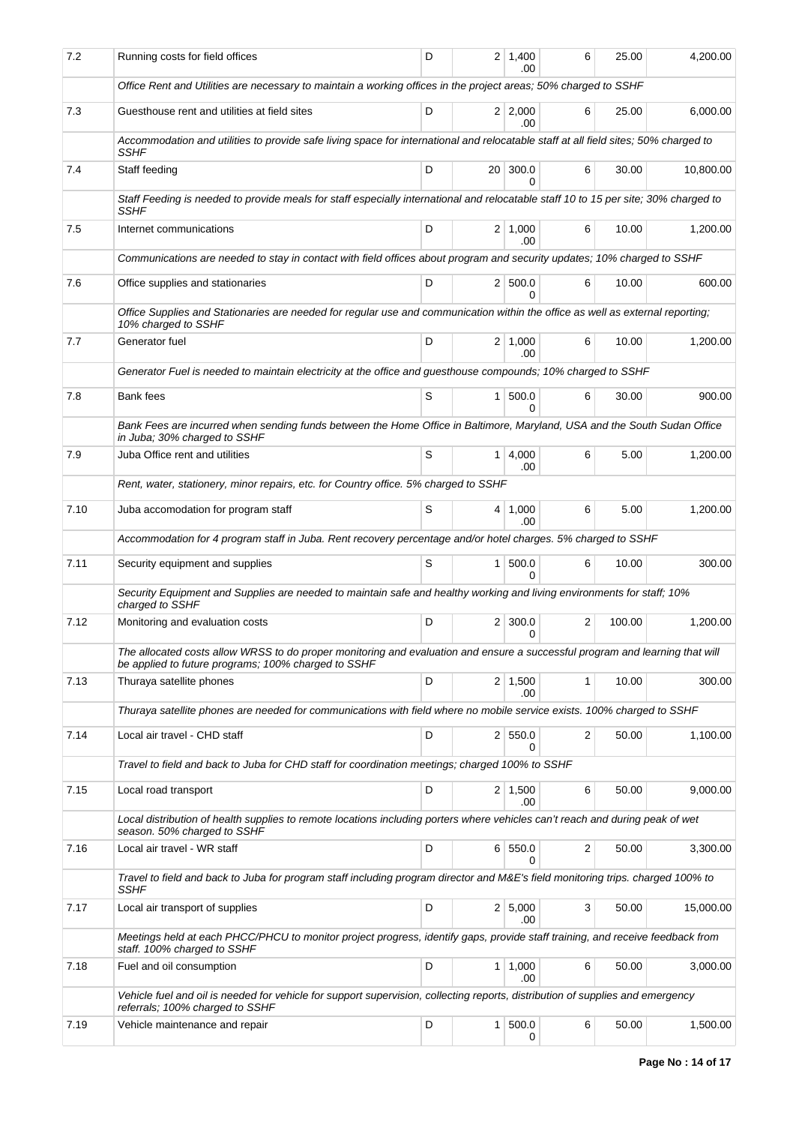| 7.2  | Running costs for field offices                                                                                                                                                     | D | 2 <sup>1</sup> | 1,400<br>.00              | 6 | 25.00  | 4,200.00  |  |  |
|------|-------------------------------------------------------------------------------------------------------------------------------------------------------------------------------------|---|----------------|---------------------------|---|--------|-----------|--|--|
|      | Office Rent and Utilities are necessary to maintain a working offices in the project areas; 50% charged to SSHF                                                                     |   |                |                           |   |        |           |  |  |
| 7.3  | Guesthouse rent and utilities at field sites                                                                                                                                        | D |                | $2 \mid 2,000$<br>.00.    | 6 | 25.00  | 6,000.00  |  |  |
|      | Accommodation and utilities to provide safe living space for international and relocatable staff at all field sites; 50% charged to<br>SSHF                                         |   |                |                           |   |        |           |  |  |
| 7.4  | Staff feeding                                                                                                                                                                       | D |                | 20 300.0<br>0             | 6 | 30.00  | 10,800.00 |  |  |
|      | Staff Feeding is needed to provide meals for staff especially international and relocatable staff 10 to 15 per site; 30% charged to<br>SSHF                                         |   |                |                           |   |        |           |  |  |
| 7.5  | Internet communications                                                                                                                                                             | D |                | $2 \mid 1,000$<br>.00     | 6 | 10.00  | 1,200.00  |  |  |
|      | Communications are needed to stay in contact with field offices about program and security updates; 10% charged to SSHF                                                             |   |                |                           |   |        |           |  |  |
| 7.6  | Office supplies and stationaries                                                                                                                                                    | D |                | 2 500.0<br><sup>0</sup>   | 6 | 10.00  | 600.00    |  |  |
|      | Office Supplies and Stationaries are needed for regular use and communication within the office as well as external reporting;<br>10% charged to SSHF                               |   |                |                           |   |        |           |  |  |
| 7.7  | Generator fuel                                                                                                                                                                      | D |                | $2 \mid 1.000$<br>.00     | 6 | 10.00  | 1,200.00  |  |  |
|      | Generator Fuel is needed to maintain electricity at the office and guesthouse compounds; 10% charged to SSHF                                                                        |   |                |                           |   |        |           |  |  |
| 7.8  | Bank fees                                                                                                                                                                           | S |                | 1   500.0<br><sup>0</sup> | 6 | 30.00  | 900.00    |  |  |
|      | Bank Fees are incurred when sending funds between the Home Office in Baltimore, Maryland, USA and the South Sudan Office<br>in Juba; 30% charged to SSHF                            |   |                |                           |   |        |           |  |  |
| 7.9  | Juba Office rent and utilities                                                                                                                                                      | S |                | 1   4,000<br>.00          | 6 | 5.00   | 1,200.00  |  |  |
|      | Rent, water, stationery, minor repairs, etc. for Country office. 5% charged to SSHF                                                                                                 |   |                |                           |   |        |           |  |  |
| 7.10 | Juba accomodation for program staff                                                                                                                                                 | S |                | $4 \mid 1,000$<br>.00     | 6 | 5.00   | 1,200.00  |  |  |
|      | Accommodation for 4 program staff in Juba. Rent recovery percentage and/or hotel charges. 5% charged to SSHF                                                                        |   |                |                           |   |        |           |  |  |
| 7.11 | Security equipment and supplies                                                                                                                                                     | S |                | $1 \, 500.0$<br>$\Omega$  | 6 | 10.00  | 300.00    |  |  |
|      | Security Equipment and Supplies are needed to maintain safe and healthy working and living environments for staff; 10%<br>charged to SSHF                                           |   |                |                           |   |        |           |  |  |
| 7.12 | Monitoring and evaluation costs                                                                                                                                                     | D |                | $2 \mid 300.0$<br>0       | 2 | 100.00 | 1,200.00  |  |  |
|      | The allocated costs allow WRSS to do proper monitoring and evaluation and ensure a successful program and learning that will<br>be applied to future programs; 100% charged to SSHF |   |                |                           |   |        |           |  |  |
| 7.13 | Thuraya satellite phones                                                                                                                                                            | D |                | $2 \mid 1,500$<br>.00     | 1 | 10.00  | 300.00    |  |  |
|      | Thuraya satellite phones are needed for communications with field where no mobile service exists. 100% charged to SSHF                                                              |   |                |                           |   |        |           |  |  |
| 7.14 | Local air travel - CHD staff                                                                                                                                                        | D |                | 2 550.0<br>0              | 2 | 50.00  | 1,100.00  |  |  |
|      | Travel to field and back to Juba for CHD staff for coordination meetings; charged 100% to SSHF                                                                                      |   |                |                           |   |        |           |  |  |
| 7.15 | Local road transport                                                                                                                                                                | D |                | $2 \mid 1,500$<br>.00     | 6 | 50.00  | 9,000.00  |  |  |
|      | Local distribution of health supplies to remote locations including porters where vehicles can't reach and during peak of wet<br>season. 50% charged to SSHF                        |   |                |                           |   |        |           |  |  |
| 7.16 | Local air travel - WR staff                                                                                                                                                         | D |                | 6 550.0<br>0              | 2 | 50.00  | 3,300.00  |  |  |
|      | Travel to field and back to Juba for program staff including program director and M&E's field monitoring trips. charged 100% to<br><b>SSHF</b>                                      |   |                |                           |   |        |           |  |  |
| 7.17 | Local air transport of supplies                                                                                                                                                     | D |                | 2 5,000<br>.00            | 3 | 50.00  | 15,000.00 |  |  |
|      | Meetings held at each PHCC/PHCU to monitor project progress, identify gaps, provide staff training, and receive feedback from<br>staff. 100% charged to SSHF                        |   |                |                           |   |        |           |  |  |
| 7.18 | Fuel and oil consumption                                                                                                                                                            | D |                | $1 \mid 1,000$<br>.00     | 6 | 50.00  | 3,000.00  |  |  |
|      | Vehicle fuel and oil is needed for vehicle for support supervision, collecting reports, distribution of supplies and emergency<br>referrals; 100% charged to SSHF                   |   |                |                           |   |        |           |  |  |
| 7.19 | Vehicle maintenance and repair                                                                                                                                                      | D |                | $1 \, 500.0$<br>0         | 6 | 50.00  | 1,500.00  |  |  |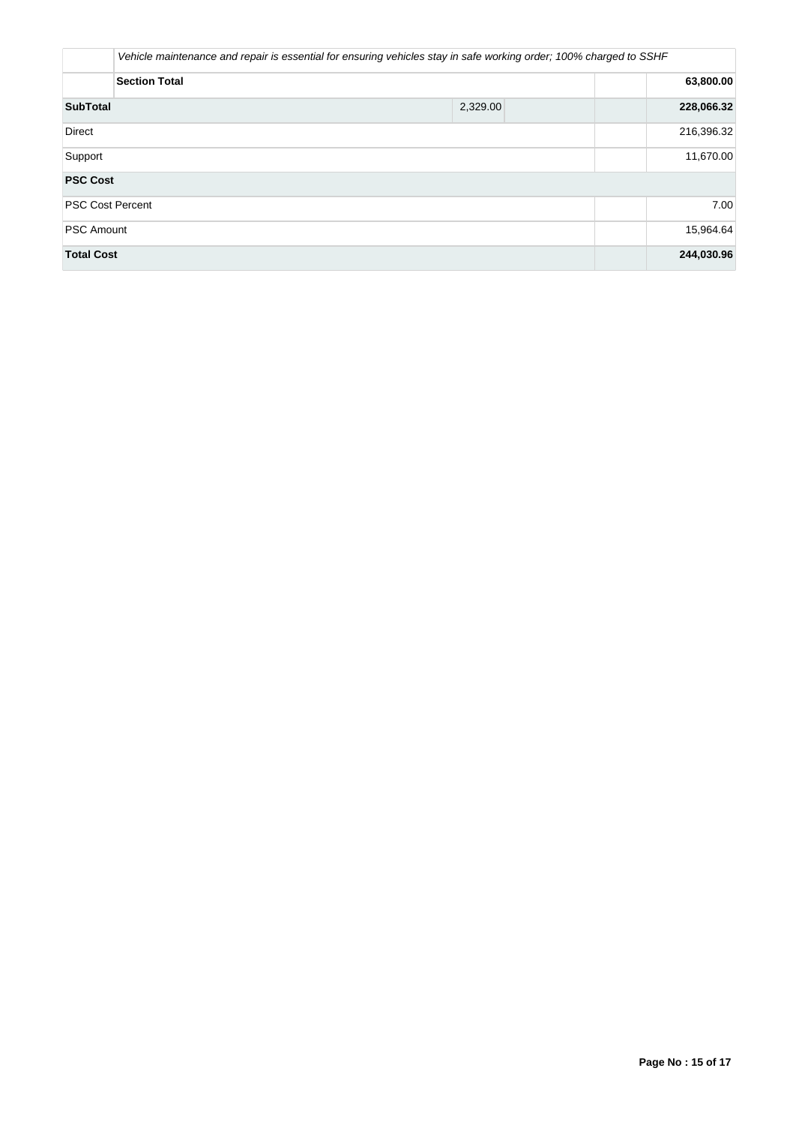|                         | Vehicle maintenance and repair is essential for ensuring vehicles stay in safe working order; 100% charged to SSHF |            |
|-------------------------|--------------------------------------------------------------------------------------------------------------------|------------|
| <b>Section Total</b>    |                                                                                                                    | 63,800.00  |
| <b>SubTotal</b>         | 2,329.00                                                                                                           | 228,066.32 |
| <b>Direct</b>           |                                                                                                                    | 216,396.32 |
| Support                 |                                                                                                                    | 11,670.00  |
| <b>PSC Cost</b>         |                                                                                                                    |            |
| <b>PSC Cost Percent</b> |                                                                                                                    | 7.00       |
| <b>PSC Amount</b>       |                                                                                                                    | 15,964.64  |
| <b>Total Cost</b>       |                                                                                                                    | 244,030.96 |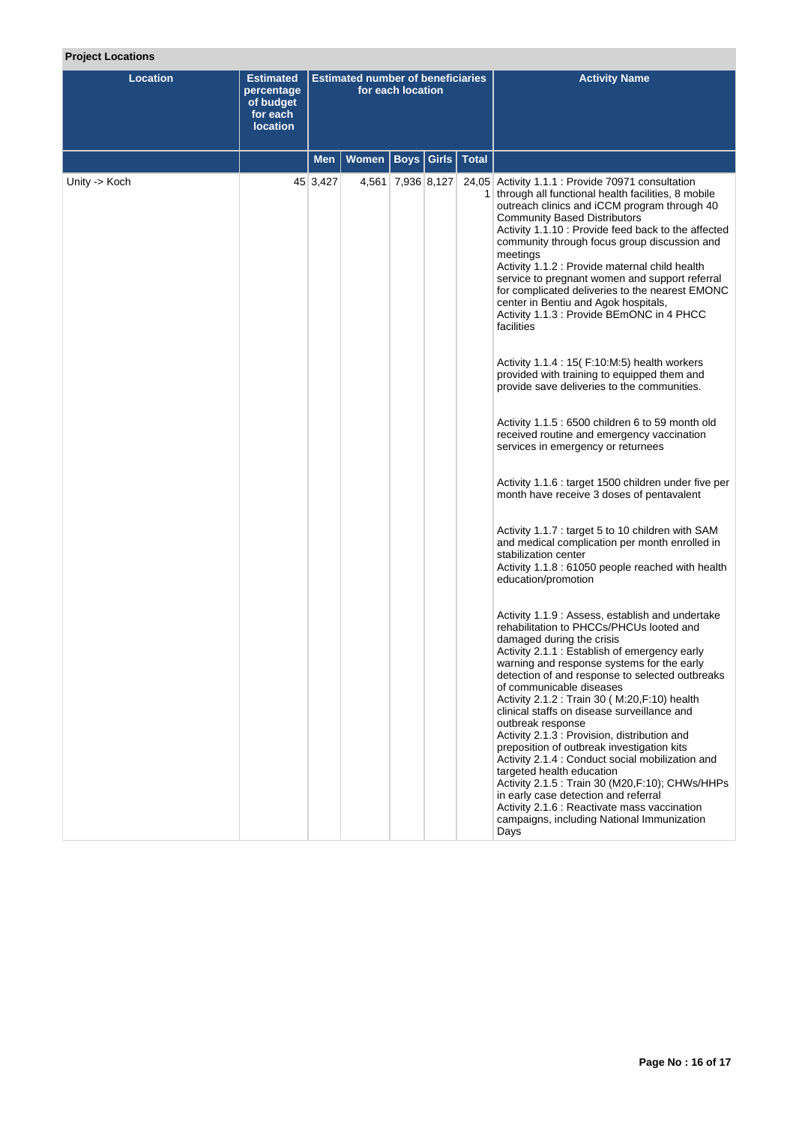# **Project Locations**

| Location      | <b>Estimated</b><br>percentage<br>of budget<br>for each<br><b>location</b> | <b>Estimated number of beneficiaries</b><br>for each location |       |                   |                         | <b>Activity Name</b>                                                                                                                                                                                                                                                                                                                                                                                                                                                                                                                                                                                                                                                                                                                                                                                                                                                                                                                                                                                                                                                                                                                                                                                                                                                                                                                                                                                                                                                                                                                                                                                                                                                                                                                                                                                                                                                                           |
|---------------|----------------------------------------------------------------------------|---------------------------------------------------------------|-------|-------------------|-------------------------|------------------------------------------------------------------------------------------------------------------------------------------------------------------------------------------------------------------------------------------------------------------------------------------------------------------------------------------------------------------------------------------------------------------------------------------------------------------------------------------------------------------------------------------------------------------------------------------------------------------------------------------------------------------------------------------------------------------------------------------------------------------------------------------------------------------------------------------------------------------------------------------------------------------------------------------------------------------------------------------------------------------------------------------------------------------------------------------------------------------------------------------------------------------------------------------------------------------------------------------------------------------------------------------------------------------------------------------------------------------------------------------------------------------------------------------------------------------------------------------------------------------------------------------------------------------------------------------------------------------------------------------------------------------------------------------------------------------------------------------------------------------------------------------------------------------------------------------------------------------------------------------------|
|               |                                                                            | <b>Men</b>                                                    | Women |                   | <b>Boys Girls Total</b> |                                                                                                                                                                                                                                                                                                                                                                                                                                                                                                                                                                                                                                                                                                                                                                                                                                                                                                                                                                                                                                                                                                                                                                                                                                                                                                                                                                                                                                                                                                                                                                                                                                                                                                                                                                                                                                                                                                |
| Unity -> Koch |                                                                            | 45 3,427                                                      |       | 4,561 7,936 8,127 |                         | 24,05 Activity 1.1.1 : Provide 70971 consultation<br>1 through all functional health facilities, 8 mobile<br>outreach clinics and iCCM program through 40<br><b>Community Based Distributors</b><br>Activity 1.1.10 : Provide feed back to the affected<br>community through focus group discussion and<br>meetings<br>Activity 1.1.2 : Provide maternal child health<br>service to pregnant women and support referral<br>for complicated deliveries to the nearest EMONC<br>center in Bentiu and Agok hospitals,<br>Activity 1.1.3 : Provide BEmONC in 4 PHCC<br>facilities<br>Activity 1.1.4 : 15 (F:10:M:5) health workers<br>provided with training to equipped them and<br>provide save deliveries to the communities.<br>Activity 1.1.5 : 6500 children 6 to 59 month old<br>received routine and emergency vaccination<br>services in emergency or returnees<br>Activity 1.1.6 : target 1500 children under five per<br>month have receive 3 doses of pentavalent<br>Activity 1.1.7 : target 5 to 10 children with SAM<br>and medical complication per month enrolled in<br>stabilization center<br>Activity 1.1.8 : 61050 people reached with health<br>education/promotion<br>Activity 1.1.9: Assess, establish and undertake<br>rehabilitation to PHCCs/PHCUs looted and<br>damaged during the crisis<br>Activity 2.1.1 : Establish of emergency early<br>warning and response systems for the early<br>detection of and response to selected outbreaks<br>of communicable diseases<br>Activity 2.1.2 : Train 30 ( M:20, F:10) health<br>clinical staffs on disease surveillance and<br>outbreak response<br>Activity 2.1.3 : Provision, distribution and<br>preposition of outbreak investigation kits<br>Activity 2.1.4 : Conduct social mobilization and<br>targeted health education<br>Activity 2.1.5 : Train 30 (M20,F:10); CHWs/HHPs<br>in early case detection and referral |
|               |                                                                            |                                                               |       |                   |                         | Activity 2.1.6 : Reactivate mass vaccination<br>campaigns, including National Immunization<br>Days                                                                                                                                                                                                                                                                                                                                                                                                                                                                                                                                                                                                                                                                                                                                                                                                                                                                                                                                                                                                                                                                                                                                                                                                                                                                                                                                                                                                                                                                                                                                                                                                                                                                                                                                                                                             |